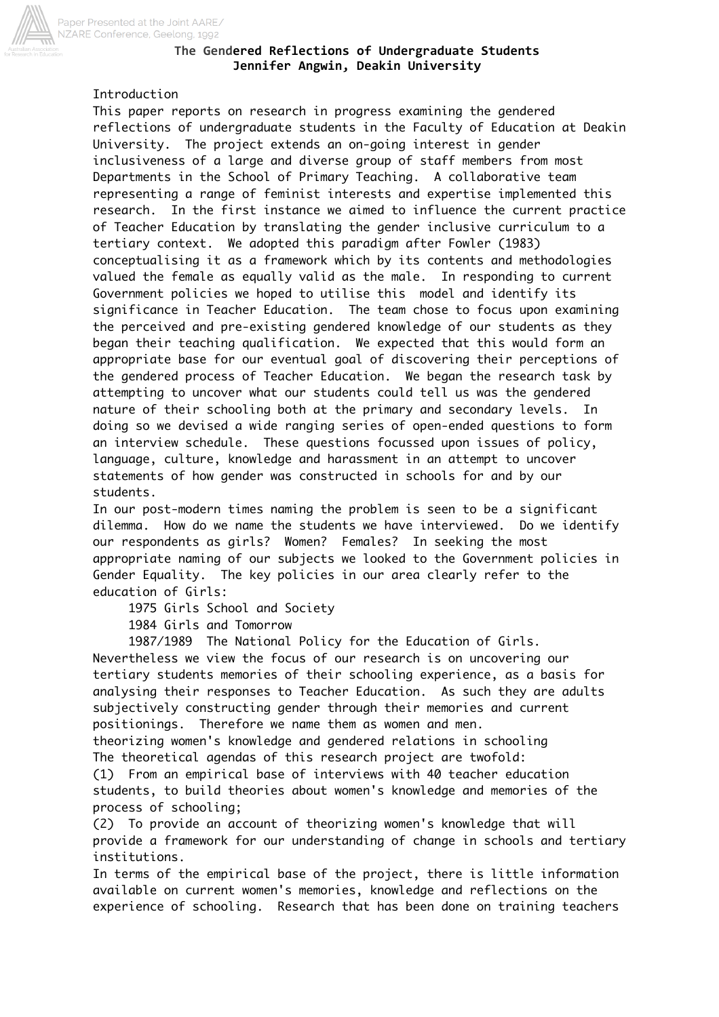

## The Gendered Reflections of Undergraduate Students **Jennifer Angwin, Deakin University**

# Introduction

This paper reports on research in progress examining the gendered reflections of undergraduate students in the Faculty of Education at Deakin University. The project extends an on-going interest in gender inclusiveness of a large and diverse group of staff members from most Departments in the School of Primary Teaching. A collaborative team representing a range of feminist interests and expertise implemented this research. In the first instance we aimed to influence the current practice of Teacher Education by translating the gender inclusive curriculum to a tertiary context. We adopted this paradigm after Fowler (1983) conceptualising it as a framework which by its contents and methodologies valued the female as equally valid as the male. In responding to current Government policies we hoped to utilise this model and identify its significance in Teacher Education. The team chose to focus upon examining the perceived and pre-existing gendered knowledge of our students as they began their teaching qualification. We expected that this would form an appropriate base for our eventual goal of discovering their perceptions of the gendered process of Teacher Education. We began the research task by attempting to uncover what our students could tell us was the gendered nature of their schooling both at the primary and secondary levels. In doing so we devised a wide ranging series of open-ended questions to form an interview schedule. These questions focussed upon issues of policy, language, culture, knowledge and harassment in an attempt to uncover statements of how gender was constructed in schools for and by our students.

In our post-modern times naming the problem is seen to be a significant dilemma. How do we name the students we have interviewed. Do we identify our respondents as girls? Women? Females? In seeking the most appropriate naming of our subjects we looked to the Government policies in Gender Equality. The key policies in our area clearly refer to the education of Girls:

1975 Girls School and Society

1984 Girls and Tomorrow

 1987/1989 The National Policy for the Education of Girls. Nevertheless we view the focus of our research is on uncovering our tertiary students memories of their schooling experience, as a basis for analysing their responses to Teacher Education. As such they are adults subjectively constructing gender through their memories and current positionings. Therefore we name them as women and men. theorizing women's knowledge and gendered relations in schooling The theoretical agendas of this research project are twofold: (1) From an empirical base of interviews with 40 teacher education

students, to build theories about women's knowledge and memories of the process of schooling;

(2) To provide an account of theorizing women's knowledge that will provide a framework for our understanding of change in schools and tertiary institutions.

In terms of the empirical base of the project, there is little information available on current women's memories, knowledge and reflections on the experience of schooling. Research that has been done on training teachers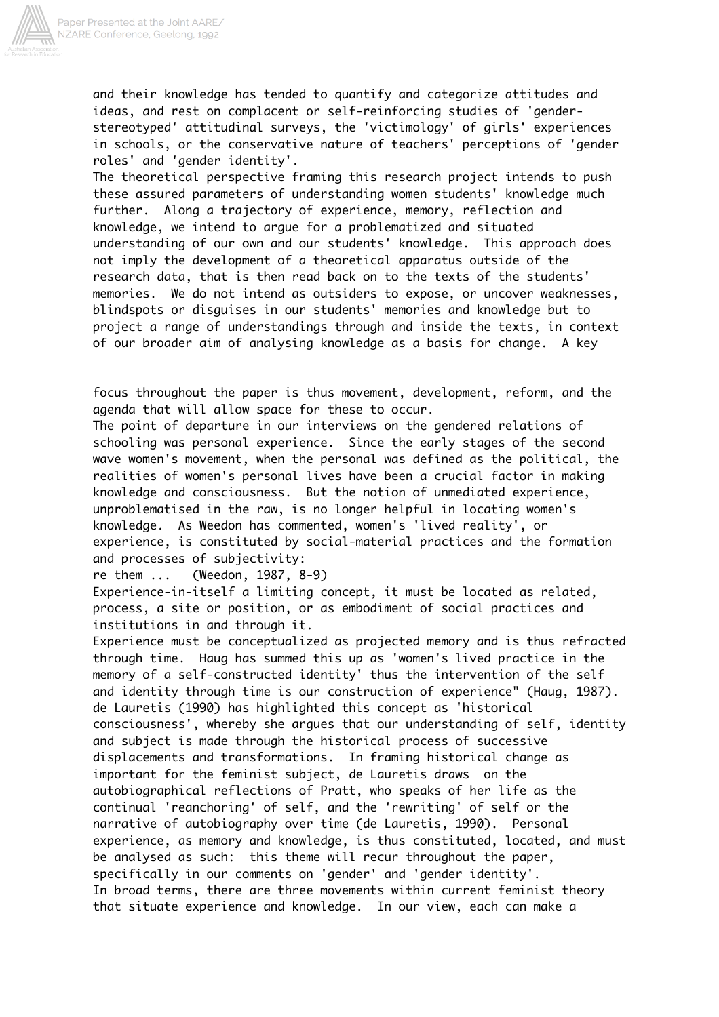

and their knowledge has tended to quantify and categorize attitudes and ideas, and rest on complacent or self-reinforcing studies of 'genderstereotyped' attitudinal surveys, the 'victimology' of girls' experiences in schools, or the conservative nature of teachers' perceptions of 'gender roles' and 'gender identity'.

The theoretical perspective framing this research project intends to push these assured parameters of understanding women students' knowledge much further. Along a trajectory of experience, memory, reflection and knowledge, we intend to argue for a problematized and situated understanding of our own and our students' knowledge. This approach does not imply the development of a theoretical apparatus outside of the research data, that is then read back on to the texts of the students' memories. We do not intend as outsiders to expose, or uncover weaknesses, blindspots or disguises in our students' memories and knowledge but to project a range of understandings through and inside the texts, in context of our broader aim of analysing knowledge as a basis for change. A key

focus throughout the paper is thus movement, development, reform, and the agenda that will allow space for these to occur.

The point of departure in our interviews on the gendered relations of schooling was personal experience. Since the early stages of the second wave women's movement, when the personal was defined as the political, the realities of women's personal lives have been a crucial factor in making knowledge and consciousness. But the notion of unmediated experience, unproblematised in the raw, is no longer helpful in locating women's knowledge. As Weedon has commented, women's 'lived reality', or experience, is constituted by social-material practices and the formation and processes of subjectivity:

re them ... (Weedon, 1987, 8-9)

Experience-in-itself a limiting concept, it must be located as related, process, a site or position, or as embodiment of social practices and institutions in and through it.

Experience must be conceptualized as projected memory and is thus refracted through time. Haug has summed this up as 'women's lived practice in the memory of a self-constructed identity' thus the intervention of the self and identity through time is our construction of experience" (Haug, 1987). de Lauretis (1990) has highlighted this concept as 'historical consciousness', whereby she argues that our understanding of self, identity and subject is made through the historical process of successive displacements and transformations. In framing historical change as important for the feminist subject, de Lauretis draws on the autobiographical reflections of Pratt, who speaks of her life as the continual 'reanchoring' of self, and the 'rewriting' of self or the narrative of autobiography over time (de Lauretis, 1990). Personal experience, as memory and knowledge, is thus constituted, located, and must be analysed as such: this theme will recur throughout the paper, specifically in our comments on 'gender' and 'gender identity'. In broad terms, there are three movements within current feminist theory that situate experience and knowledge. In our view, each can make a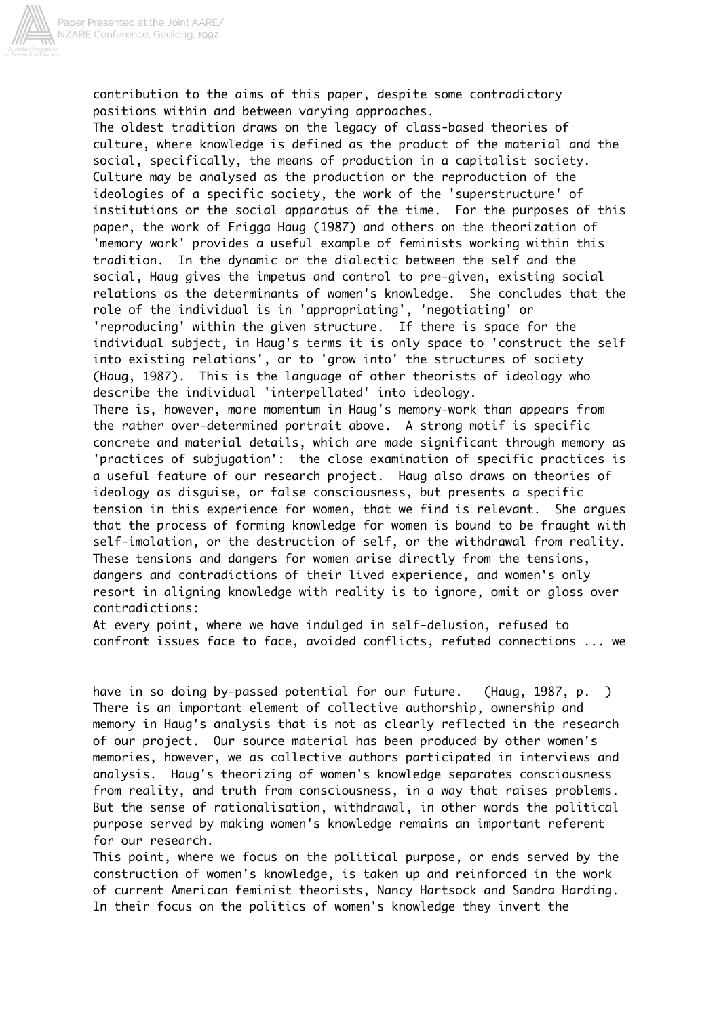

contribution to the aims of this paper, despite some contradictory positions within and between varying approaches.

The oldest tradition draws on the legacy of class-based theories of culture, where knowledge is defined as the product of the material and the social, specifically, the means of production in a capitalist society. Culture may be analysed as the production or the reproduction of the ideologies of a specific society, the work of the 'superstructure' of institutions or the social apparatus of the time. For the purposes of this paper, the work of Frigga Haug (1987) and others on the theorization of 'memory work' provides a useful example of feminists working within this tradition. In the dynamic or the dialectic between the self and the social, Haug gives the impetus and control to pre-given, existing social relations as the determinants of women's knowledge. She concludes that the role of the individual is in 'appropriating', 'negotiating' or 'reproducing' within the given structure. If there is space for the individual subject, in Haug's terms it is only space to 'construct the self into existing relations', or to 'grow into' the structures of society (Haug, 1987). This is the language of other theorists of ideology who describe the individual 'interpellated' into ideology. There is, however, more momentum in Haug's memory-work than appears from the rather over-determined portrait above. A strong motif is specific concrete and material details, which are made significant through memory as 'practices of subjugation': the close examination of specific practices is a useful feature of our research project. Haug also draws on theories of ideology as disguise, or false consciousness, but presents a specific tension in this experience for women, that we find is relevant. She argues that the process of forming knowledge for women is bound to be fraught with self-imolation, or the destruction of self, or the withdrawal from reality. These tensions and dangers for women arise directly from the tensions, dangers and contradictions of their lived experience, and women's only resort in aligning knowledge with reality is to ignore, omit or gloss over

#### contradictions:

At every point, where we have indulged in self-delusion, refused to confront issues face to face, avoided conflicts, refuted connections ... we

have in so doing by-passed potential for our future. (Haug, 1987, p. ) There is an important element of collective authorship, ownership and memory in Haug's analysis that is not as clearly reflected in the research of our project. Our source material has been produced by other women's memories, however, we as collective authors participated in interviews and analysis. Haug's theorizing of women's knowledge separates consciousness from reality, and truth from consciousness, in a way that raises problems. But the sense of rationalisation, withdrawal, in other words the political purpose served by making women's knowledge remains an important referent for our research.

This point, where we focus on the political purpose, or ends served by the construction of women's knowledge, is taken up and reinforced in the work of current American feminist theorists, Nancy Hartsock and Sandra Harding. In their focus on the politics of women's knowledge they invert the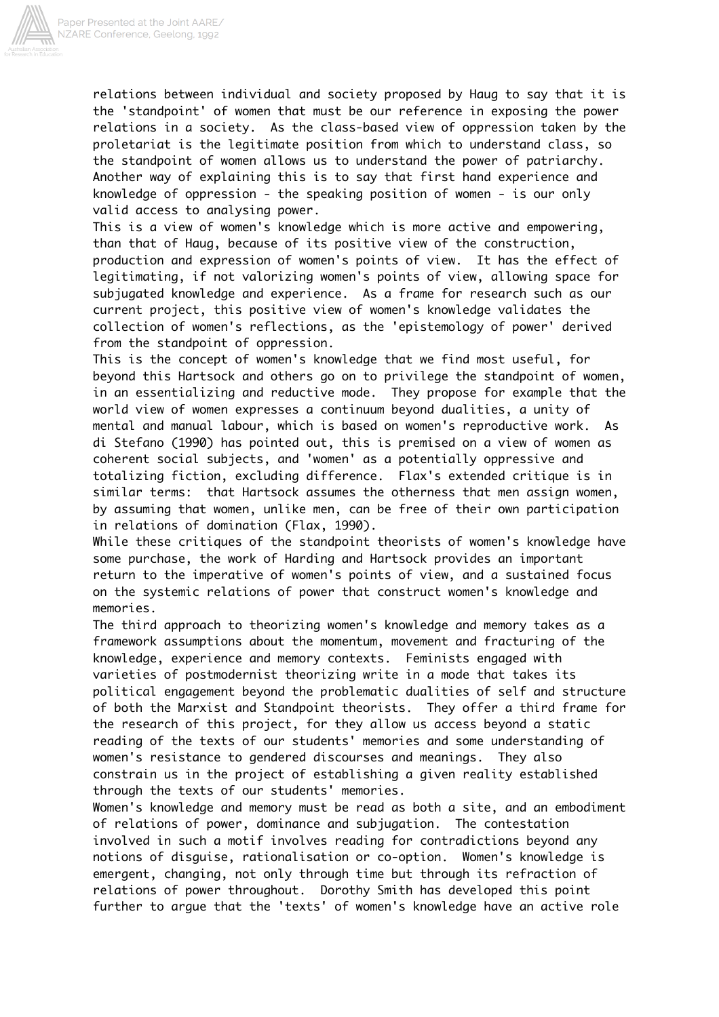

relations between individual and society proposed by Haug to say that it is the 'standpoint' of women that must be our reference in exposing the power relations in a society. As the class-based view of oppression taken by the proletariat is the legitimate position from which to understand class, so the standpoint of women allows us to understand the power of patriarchy. Another way of explaining this is to say that first hand experience and knowledge of oppression - the speaking position of women - is our only valid access to analysing power.

This is a view of women's knowledge which is more active and empowering, than that of Haug, because of its positive view of the construction, production and expression of women's points of view. It has the effect of legitimating, if not valorizing women's points of view, allowing space for subjugated knowledge and experience. As a frame for research such as our current project, this positive view of women's knowledge validates the collection of women's reflections, as the 'epistemology of power' derived from the standpoint of oppression.

This is the concept of women's knowledge that we find most useful, for beyond this Hartsock and others go on to privilege the standpoint of women, in an essentializing and reductive mode. They propose for example that the world view of women expresses a continuum beyond dualities, a unity of mental and manual labour, which is based on women's reproductive work. As di Stefano (1990) has pointed out, this is premised on a view of women as coherent social subjects, and 'women' as a potentially oppressive and totalizing fiction, excluding difference. Flax's extended critique is in similar terms: that Hartsock assumes the otherness that men assign women, by assuming that women, unlike men, can be free of their own participation in relations of domination (Flax, 1990).

While these critiques of the standpoint theorists of women's knowledge have some purchase, the work of Harding and Hartsock provides an important return to the imperative of women's points of view, and a sustained focus on the systemic relations of power that construct women's knowledge and memories.

The third approach to theorizing women's knowledge and memory takes as a framework assumptions about the momentum, movement and fracturing of the knowledge, experience and memory contexts. Feminists engaged with varieties of postmodernist theorizing write in a mode that takes its political engagement beyond the problematic dualities of self and structure of both the Marxist and Standpoint theorists. They offer a third frame for the research of this project, for they allow us access beyond a static reading of the texts of our students' memories and some understanding of women's resistance to gendered discourses and meanings. They also constrain us in the project of establishing a given reality established through the texts of our students' memories.

Women's knowledge and memory must be read as both a site, and an embodiment of relations of power, dominance and subjugation. The contestation involved in such a motif involves reading for contradictions beyond any notions of disguise, rationalisation or co-option. Women's knowledge is emergent, changing, not only through time but through its refraction of relations of power throughout. Dorothy Smith has developed this point further to argue that the 'texts' of women's knowledge have an active role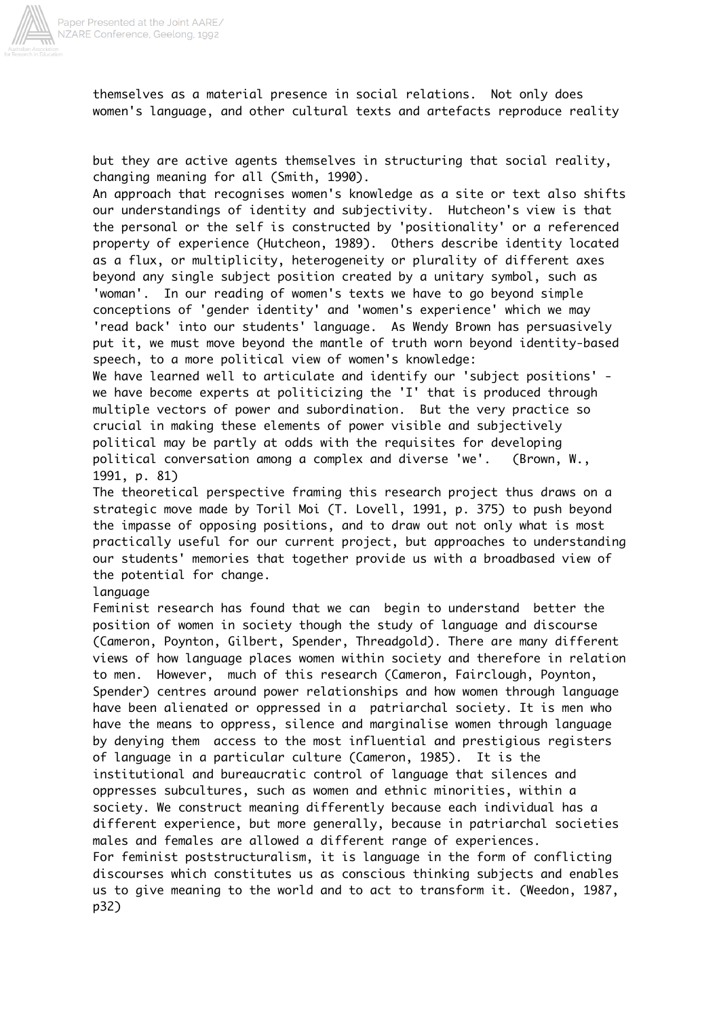

themselves as a material presence in social relations. Not only does women's language, and other cultural texts and artefacts reproduce reality

but they are active agents themselves in structuring that social reality, changing meaning for all (Smith, 1990).

An approach that recognises women's knowledge as a site or text also shifts our understandings of identity and subjectivity. Hutcheon's view is that the personal or the self is constructed by 'positionality' or a referenced property of experience (Hutcheon, 1989). Others describe identity located as a flux, or multiplicity, heterogeneity or plurality of different axes beyond any single subject position created by a unitary symbol, such as 'woman'. In our reading of women's texts we have to go beyond simple conceptions of 'gender identity' and 'women's experience' which we may 'read back' into our students' language. As Wendy Brown has persuasively put it, we must move beyond the mantle of truth worn beyond identity-based speech, to a more political view of women's knowledge:

We have learned well to articulate and identify our 'subject positions' we have become experts at politicizing the 'I' that is produced through multiple vectors of power and subordination. But the very practice so crucial in making these elements of power visible and subjectively political may be partly at odds with the requisites for developing political conversation among a complex and diverse 'we'. (Brown, W., 1991, p. 81)

The theoretical perspective framing this research project thus draws on a strategic move made by Toril Moi (T. Lovell, 1991, p. 375) to push beyond the impasse of opposing positions, and to draw out not only what is most practically useful for our current project, but approaches to understanding our students' memories that together provide us with a broadbased view of the potential for change.

### **language**

Feminist research has found that we can begin to understand better the position of women in society though the study of language and discourse (Cameron, Poynton, Gilbert, Spender, Threadgold). There are many different views of how language places women within society and therefore in relation to men. However, much of this research (Cameron, Fairclough, Poynton, Spender) centres around power relationships and how women through language have been alienated or oppressed in a patriarchal society. It is men who have the means to oppress, silence and marginalise women through language by denying them access to the most influential and prestigious registers of language in a particular culture (Cameron, 1985). It is the institutional and bureaucratic control of language that silences and oppresses subcultures, such as women and ethnic minorities, within a society. We construct meaning differently because each individual has a different experience, but more generally, because in patriarchal societies males and females are allowed a different range of experiences. For feminist poststructuralism, it is language in the form of conflicting discourses which constitutes us as conscious thinking subjects and enables us to give meaning to the world and to act to transform it. (Weedon, 1987, p32)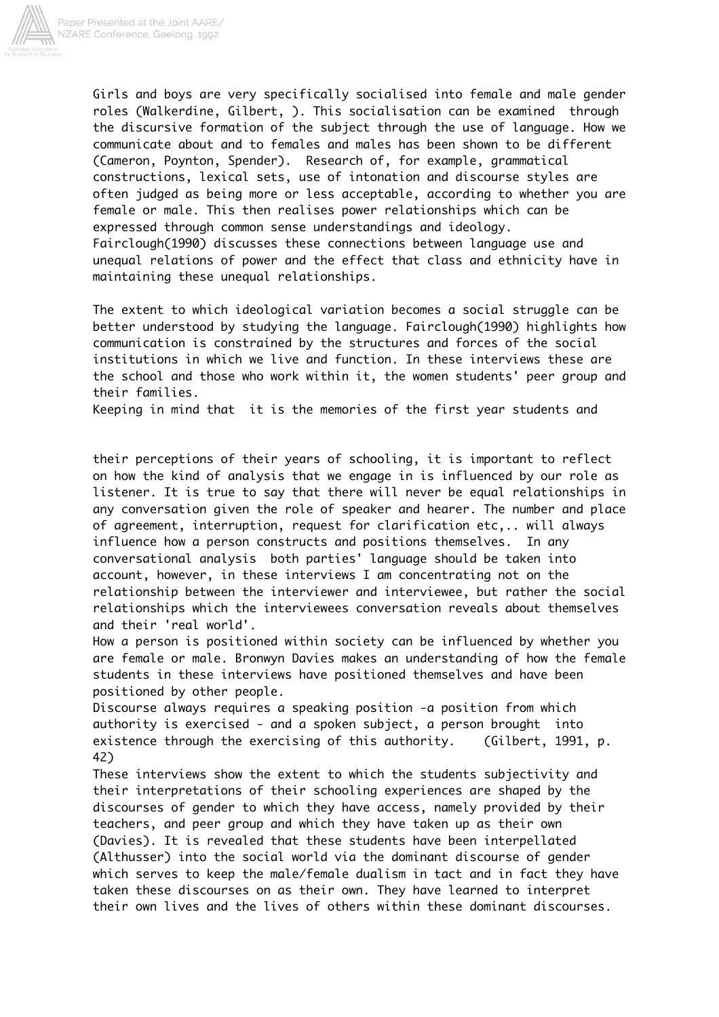

Girls and boys are very specifically socialised into female and male gender roles (Walkerdine, Gilbert, ). This socialisation can be examined through the discursive formation of the subject through the use of language. How we communicate about and to females and males has been shown to be different (Cameron, Poynton, Spender). Research of, for example, grammatical constructions, lexical sets, use of intonation and discourse styles are often judged as being more or less acceptable, according to whether you are female or male. This then realises power relationships which can be expressed through common sense understandings and ideology. Fairclough(1990) discusses these connections between language use and unequal relations of power and the effect that class and ethnicity have in maintaining these unequal relationships.

The extent to which ideological variation becomes a social struggle can be better understood by studying the language. Fairclough(1990) highlights how communication is constrained by the structures and forces of the social institutions in which we live and function. In these interviews these are the school and those who work within it, the women students' peer group and their families.

Keeping in mind that it is the memories of the first year students and

their perceptions of their years of schooling, it is important to reflect on how the kind of analysis that we engage in is influenced by our role as listener. It is true to say that there will never be equal relationships in any conversation given the role of speaker and hearer. The number and place of agreement, interruption, request for clarification etc,.. will always influence how a person constructs and positions themselves. In any conversational analysis both parties' language should be taken into account, however, in these interviews I am concentrating not on the relationship between the interviewer and interviewee, but rather the social relationships which the interviewees conversation reveals about themselves and their 'real world'.

How a person is positioned within society can be influenced by whether you are female or male. Bronwyn Davies makes an understanding of how the female students in these interviews have positioned themselves and have been positioned by other people.

Discourse always requires a speaking position -a position from which authority is exercised - and a spoken subject, a person brought into existence through the exercising of this authority. (Gilbert, 1991, p. 42)

These interviews show the extent to which the students subjectivity and their interpretations of their schooling experiences are shaped by the discourses of gender to which they have access, namely provided by their teachers, and peer group and which they have taken up as their own (Davies). It is revealed that these students have been interpellated (Althusser) into the social world via the dominant discourse of gender which serves to keep the male/female dualism in tact and in fact they have taken these discourses on as their own. They have learned to interpret their own lives and the lives of others within these dominant discourses.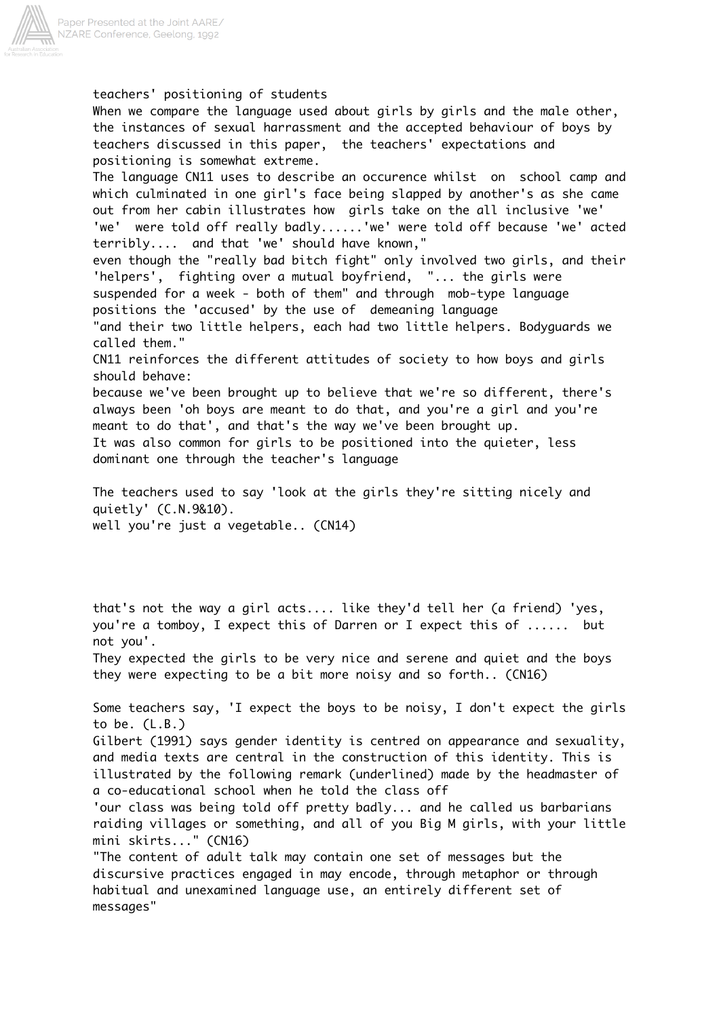

teachers' positioning of students When we compare the language used about girls by girls and the male other, the instances of sexual harrassment and the accepted behaviour of boys by teachers discussed in this paper, the teachers' expectations and positioning is somewhat extreme. The language CN11 uses to describe an occurence whilst on school camp and which culminated in one girl's face being slapped by another's as she came out from her cabin illustrates how girls take on the all inclusive 'we' 'we' were told off really badly......'we' were told off because 'we' acted terribly.... and that 'we' should have known," even though the "really bad bitch fight" only involved two girls, and their 'helpers', fighting over a mutual boyfriend, "... the girls were suspended for a week - both of them" and through mob-type language positions the 'accused' by the use of demeaning language "and their two little helpers, each had two little helpers. Bodyguards we called them." CN11 reinforces the different attitudes of society to how boys and girls should behave: because we've been brought up to believe that we're so different, there's always been 'oh boys are meant to do that, and you're a girl and you're meant to do that', and that's the way we've been brought up. It was also common for girls to be positioned into the quieter, less dominant one through the teacher's language The teachers used to say 'look at the girls they're sitting nicely and quietly' (C.N.9&10). well you're just a vegetable.. (CN14) that's not the way a girl acts.... like they'd tell her (a friend) 'yes, you're a tomboy, I expect this of Darren or I expect this of ...... but not you'. They expected the girls to be very nice and serene and quiet and the boys they were expecting to be a bit more noisy and so forth.. (CN16) Some teachers say, 'I expect the boys to be noisy, I don't expect the girls to be. (L.B.) Gilbert (1991) says gender identity is centred on appearance and sexuality, and media texts are central in the construction of this identity. This is illustrated by the following remark (underlined) made by the headmaster of a co-educational school when he told the class off 'our class was being told off pretty badly... and he called us barbarians raiding villages or something, and all of you Big M girls, with your little mini skirts..." (CN16)

"The content of adult talk may contain one set of messages but the discursive practices engaged in may encode, through metaphor or through habitual and unexamined language use, an entirely different set of messages"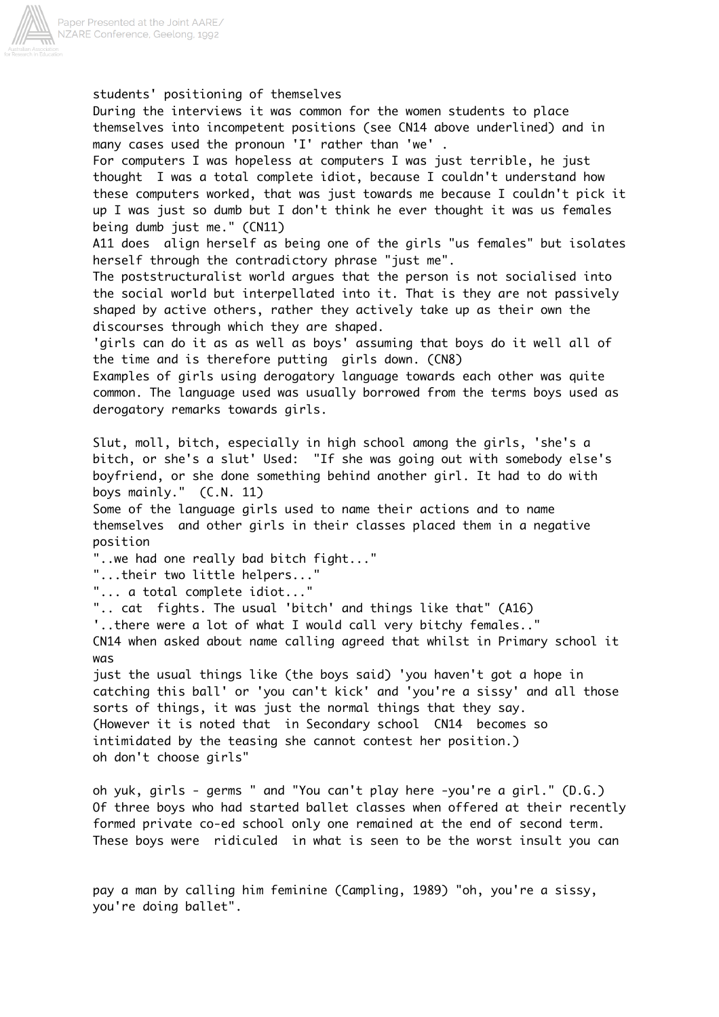

students' positioning of themselves During the interviews it was common for the women students to place themselves into incompetent positions (see CN14 above underlined) and in many cases used the pronoun 'I' rather than 'we' . For computers I was hopeless at computers I was just terrible, he just thought I was a total complete idiot, because I couldn't understand how these computers worked, that was just towards me because I couldn't pick it up I was just so dumb but I don't think he ever thought it was us females being dumb just me." (CN11) A11 does align herself as being one of the girls "us females" but isolates herself through the contradictory phrase "just me". The poststructuralist world argues that the person is not socialised into the social world but interpellated into it. That is they are not passively shaped by active others, rather they actively take up as their own the discourses through which they are shaped. 'girls can do it as as well as boys' assuming that boys do it well all of the time and is therefore putting girls down. (CN8) Examples of girls using derogatory language towards each other was quite common. The language used was usually borrowed from the terms boys used as derogatory remarks towards girls. Slut, moll, bitch, especially in high school among the girls, 'she's a bitch, or she's a slut' Used: "If she was going out with somebody else's boyfriend, or she done something behind another girl. It had to do with boys mainly." (C.N. 11) Some of the language girls used to name their actions and to name themselves and other girls in their classes placed them in a negative position "..we had one really bad bitch fight..." "...their two little helpers... "... a total complete idiot..." ".. cat fights. The usual 'bitch' and things like that" (A16) '..there were a lot of what I would call very bitchy females.." CN14 when asked about name calling agreed that whilst in Primary school it was just the usual things like (the boys said) 'you haven't got a hope in catching this ball' or 'you can't kick' and 'you're a sissy' and all those sorts of things, it was just the normal things that they say. (However it is noted that in Secondary school CN14 becomes so intimidated by the teasing she cannot contest her position.) oh don't choose girls" oh yuk, girls - germs " and "You can't play here -you're a girl." (D.G.) Of three boys who had started ballet classes when offered at their recently formed private co-ed school only one remained at the end of second term.

pay a man by calling him feminine (Campling, 1989) "oh, you're a sissy, you're doing ballet".

These boys were ridiculed in what is seen to be the worst insult you can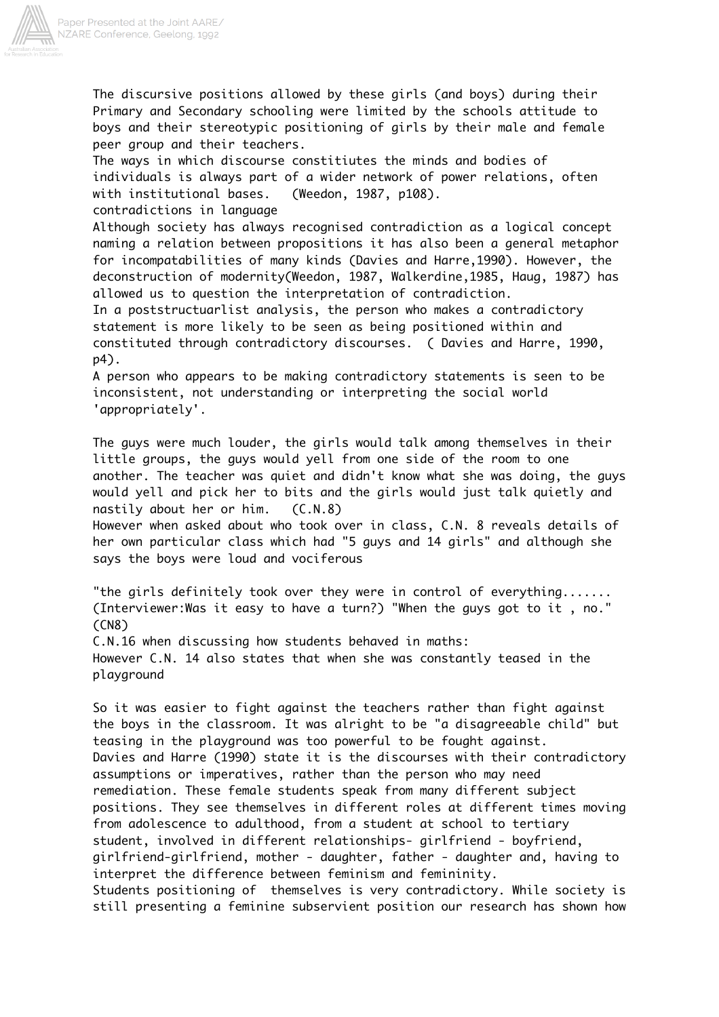

The discursive positions allowed by these girls (and boys) during their Primary and Secondary schooling were limited by the schools attitude to boys and their stereotypic positioning of girls by their male and female peer group and their teachers.

The ways in which discourse constitiutes the minds and bodies of individuals is always part of a wider network of power relations, often with institutional bases. (Weedon, 1987, p108). contradictions in language

Although society has always recognised contradiction as a logical concept naming a relation between propositions it has also been a general metaphor for incompatabilities of many kinds (Davies and Harre,1990). However, the deconstruction of modernity(Weedon, 1987, Walkerdine,1985, Haug, 1987) has allowed us to question the interpretation of contradiction.

In a poststructuarlist analysis, the person who makes a contradictory statement is more likely to be seen as being positioned within and constituted through contradictory discourses. ( Davies and Harre, 1990, p4).

A person who appears to be making contradictory statements is seen to be inconsistent, not understanding or interpreting the social world 'appropriately'.

The guys were much louder, the girls would talk among themselves in their little groups, the guys would yell from one side of the room to one another. The teacher was quiet and didn't know what she was doing, the guys would yell and pick her to bits and the girls would just talk quietly and nastily about her or him. (C.N.8)

However when asked about who took over in class, C.N. 8 reveals details of her own particular class which had "5 guys and 14 girls" and although she says the boys were loud and vociferous

"the girls definitely took over they were in control of everything....... (Interviewer:Was it easy to have a turn?) "When the guys got to it , no." (CN8)

C.N.16 when discussing how students behaved in maths: However C.N. 14 also states that when she was constantly teased in the playground

So it was easier to fight against the teachers rather than fight against the boys in the classroom. It was alright to be "a disagreeable child" but teasing in the playground was too powerful to be fought against. Davies and Harre (1990) state it is the discourses with their contradictory assumptions or imperatives, rather than the person who may need remediation. These female students speak from many different subject positions. They see themselves in different roles at different times moving from adolescence to adulthood, from a student at school to tertiary student, involved in different relationships- girlfriend - boyfriend, girlfriend-girlfriend, mother - daughter, father - daughter and, having to interpret the difference between feminism and femininity. Students positioning of themselves is very contradictory. While society is still presenting a feminine subservient position our research has shown how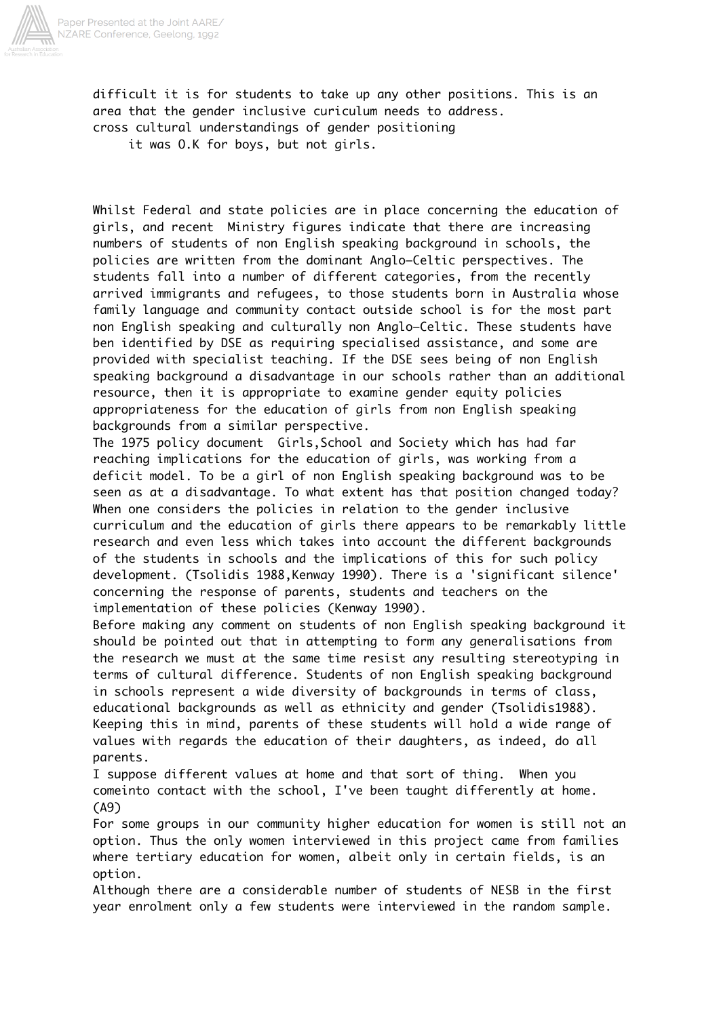

difficult it is for students to take up any other positions. This is an area that the gender inclusive curiculum needs to address. cross cultural understandings of gender positioning it was O.K for boys, but not girls.

Whilst Federal and state policies are in place concerning the education of girls, and recent Ministry figures indicate that there are increasing numbers of students of non English speaking background in schools, the policies are written from the dominant Anglo–Celtic perspectives. The students fall into a number of different categories, from the recently arrived immigrants and refugees, to those students born in Australia whose family language and community contact outside school is for the most part non English speaking and culturally non Anglo–Celtic. These students have ben identified by DSE as requiring specialised assistance, and some are provided with specialist teaching. If the DSE sees being of non English speaking background a disadvantage in our schools rather than an additional resource, then it is appropriate to examine gender equity policies appropriateness for the education of girls from non English speaking backgrounds from a similar perspective.

The 1975 policy document Girls,School and Society which has had far reaching implications for the education of girls, was working from a deficit model. To be a girl of non English speaking background was to be seen as at a disadvantage. To what extent has that position changed today? When one considers the policies in relation to the gender inclusive curriculum and the education of girls there appears to be remarkably little research and even less which takes into account the different backgrounds of the students in schools and the implications of this for such policy development. (Tsolidis 1988,Kenway 1990). There is a 'significant silence' concerning the response of parents, students and teachers on the implementation of these policies (Kenway 1990).

Before making any comment on students of non English speaking background it should be pointed out that in attempting to form any generalisations from the research we must at the same time resist any resulting stereotyping in terms of cultural difference. Students of non English speaking background in schools represent a wide diversity of backgrounds in terms of class, educational backgrounds as well as ethnicity and gender (Tsolidis1988). Keeping this in mind, parents of these students will hold a wide range of values with regards the education of their daughters, as indeed, do all parents.

I suppose different values at home and that sort of thing. When you comeinto contact with the school, I've been taught differently at home. (A9)

For some groups in our community higher education for women is still not an option. Thus the only women interviewed in this project came from families where tertiary education for women, albeit only in certain fields, is an option.

Although there are a considerable number of students of NESB in the first year enrolment only a few students were interviewed in the random sample.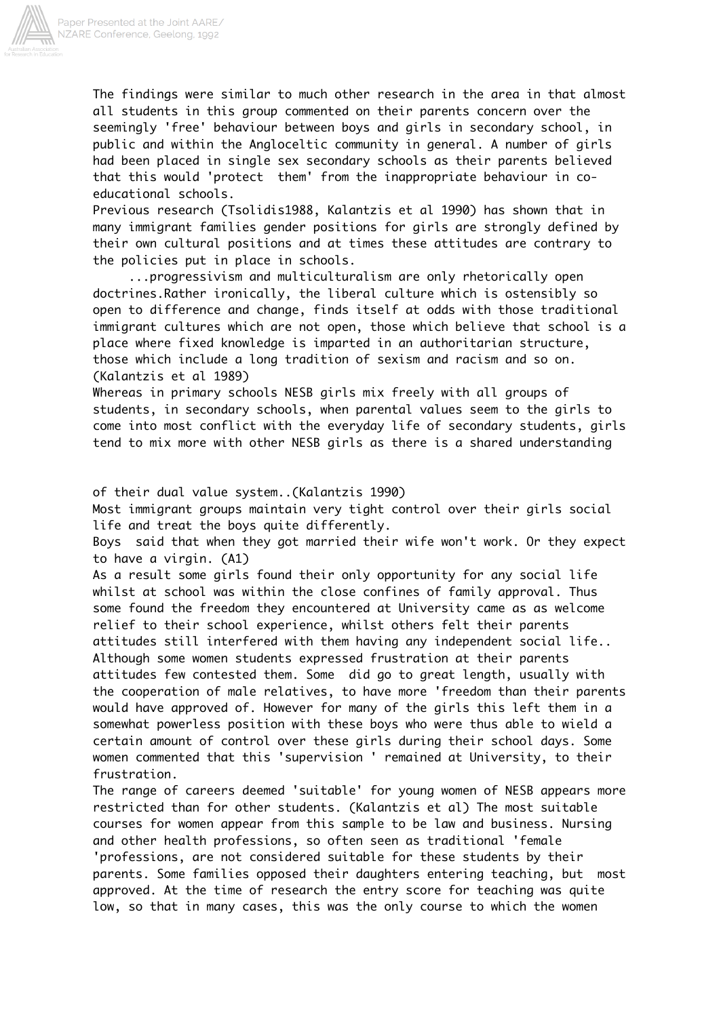

The findings were similar to much other research in the area in that almost all students in this group commented on their parents concern over the seemingly 'free' behaviour between boys and girls in secondary school, in public and within the Angloceltic community in general. A number of girls had been placed in single sex secondary schools as their parents believed that this would 'protect them' from the inappropriate behaviour in coeducational schools.

Previous research (Tsolidis1988, Kalantzis et al 1990) has shown that in many immigrant families gender positions for girls are strongly defined by their own cultural positions and at times these attitudes are contrary to the policies put in place in schools.

 ...progressivism and multiculturalism are only rhetorically open doctrines.Rather ironically, the liberal culture which is ostensibly so open to difference and change, finds itself at odds with those traditional immigrant cultures which are not open, those which believe that school is a place where fixed knowledge is imparted in an authoritarian structure, those which include a long tradition of sexism and racism and so on. (Kalantzis et al 1989)

Whereas in primary schools NESB girls mix freely with all groups of students, in secondary schools, when parental values seem to the girls to come into most conflict with the everyday life of secondary students, girls tend to mix more with other NESB girls as there is a shared understanding

of their dual value system..(Kalantzis 1990)

Most immigrant groups maintain very tight control over their girls social life and treat the boys quite differently.

Boys said that when they got married their wife won't work. Or they expect to have a virgin. (A1)

As a result some girls found their only opportunity for any social life whilst at school was within the close confines of family approval. Thus some found the freedom they encountered at University came as as welcome relief to their school experience, whilst others felt their parents attitudes still interfered with them having any independent social life.. Although some women students expressed frustration at their parents attitudes few contested them. Some did go to great length, usually with the cooperation of male relatives, to have more 'freedom than their parents would have approved of. However for many of the girls this left them in a somewhat powerless position with these boys who were thus able to wield a certain amount of control over these girls during their school days. Some women commented that this 'supervision ' remained at University, to their frustration.

The range of careers deemed 'suitable' for young women of NESB appears more restricted than for other students. (Kalantzis et al) The most suitable courses for women appear from this sample to be law and business. Nursing and other health professions, so often seen as traditional 'female 'professions, are not considered suitable for these students by their parents. Some families opposed their daughters entering teaching, but most approved. At the time of research the entry score for teaching was quite low, so that in many cases, this was the only course to which the women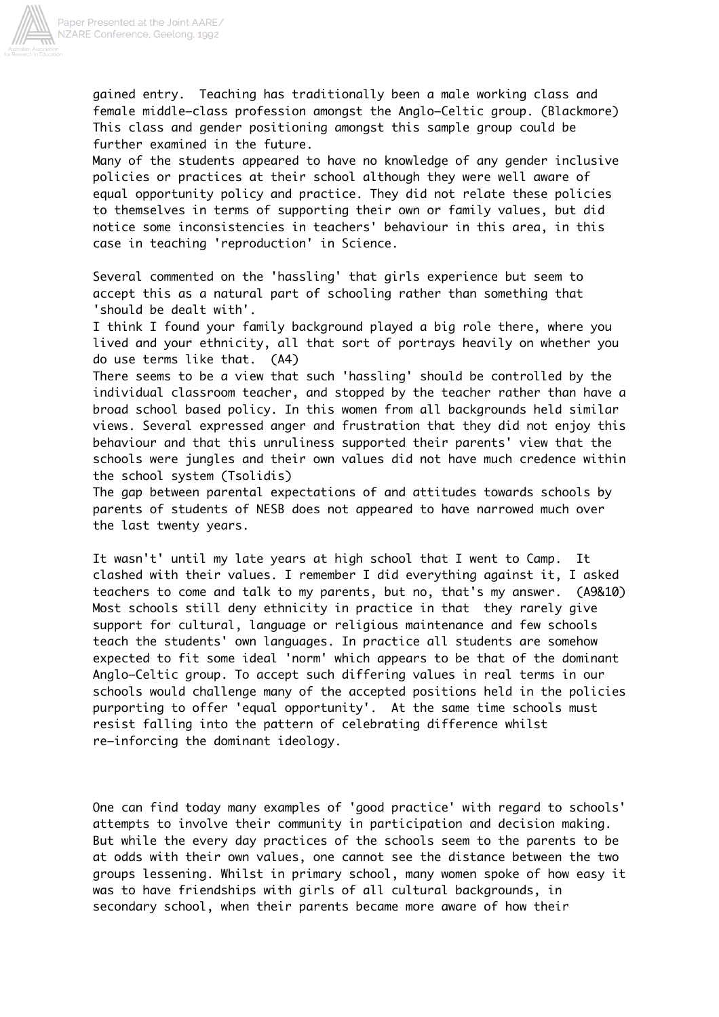

gained entry. Teaching has traditionally been a male working class and female middle–class profession amongst the Anglo–Celtic group. (Blackmore) This class and gender positioning amongst this sample group could be further examined in the future.

Many of the students appeared to have no knowledge of any gender inclusive policies or practices at their school although they were well aware of equal opportunity policy and practice. They did not relate these policies to themselves in terms of supporting their own or family values, but did notice some inconsistencies in teachers' behaviour in this area, in this case in teaching 'reproduction' in Science.

Several commented on the 'hassling' that girls experience but seem to accept this as a natural part of schooling rather than something that 'should be dealt with'.

I think I found your family background played a big role there, where you lived and your ethnicity, all that sort of portrays heavily on whether you do use terms like that. (A4)

There seems to be a view that such 'hassling' should be controlled by the individual classroom teacher, and stopped by the teacher rather than have a broad school based policy. In this women from all backgrounds held similar views. Several expressed anger and frustration that they did not enjoy this behaviour and that this unruliness supported their parents' view that the schools were jungles and their own values did not have much credence within the school system (Tsolidis)

The gap between parental expectations of and attitudes towards schools by parents of students of NESB does not appeared to have narrowed much over the last twenty years.

It wasn't' until my late years at high school that I went to Camp. It clashed with their values. I remember I did everything against it, I asked teachers to come and talk to my parents, but no, that's my answer. (A9&10) Most schools still deny ethnicity in practice in that they rarely give support for cultural, language or religious maintenance and few schools teach the students' own languages. In practice all students are somehow expected to fit some ideal 'norm' which appears to be that of the dominant Anglo–Celtic group. To accept such differing values in real terms in our schools would challenge many of the accepted positions held in the policies purporting to offer 'equal opportunity'. At the same time schools must resist falling into the pattern of celebrating difference whilst re–inforcing the dominant ideology.

One can find today many examples of 'good practice' with regard to schools' attempts to involve their community in participation and decision making. But while the every day practices of the schools seem to the parents to be at odds with their own values, one cannot see the distance between the two groups lessening. Whilst in primary school, many women spoke of how easy it was to have friendships with girls of all cultural backgrounds, in secondary school, when their parents became more aware of how their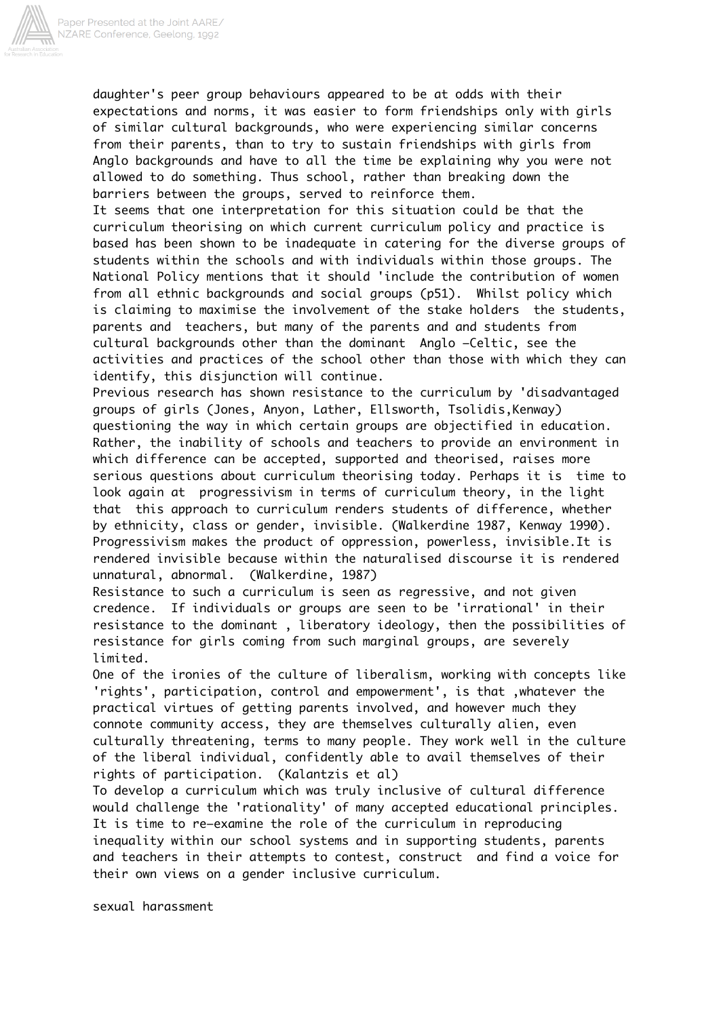

daughter's peer group behaviours appeared to be at odds with their expectations and norms, it was easier to form friendships only with girls of similar cultural backgrounds, who were experiencing similar concerns from their parents, than to try to sustain friendships with girls from Anglo backgrounds and have to all the time be explaining why you were not allowed to do something. Thus school, rather than breaking down the barriers between the groups, served to reinforce them.

It seems that one interpretation for this situation could be that the curriculum theorising on which current curriculum policy and practice is based has been shown to be inadequate in catering for the diverse groups of students within the schools and with individuals within those groups. The National Policy mentions that it should 'include the contribution of women from all ethnic backgrounds and social groups (p51). Whilst policy which is claiming to maximise the involvement of the stake holders the students, parents and teachers, but many of the parents and and students from cultural backgrounds other than the dominant Anglo –Celtic, see the activities and practices of the school other than those with which they can identify, this disjunction will continue.

Previous research has shown resistance to the curriculum by 'disadvantaged groups of girls (Jones, Anyon, Lather, Ellsworth, Tsolidis,Kenway) questioning the way in which certain groups are objectified in education. Rather, the inability of schools and teachers to provide an environment in which difference can be accepted, supported and theorised, raises more serious questions about curriculum theorising today. Perhaps it is time to look again at progressivism in terms of curriculum theory, in the light that this approach to curriculum renders students of difference, whether by ethnicity, class or gender, invisible. (Walkerdine 1987, Kenway 1990). Progressivism makes the product of oppression, powerless, invisible.It is rendered invisible because within the naturalised discourse it is rendered unnatural, abnormal. (Walkerdine, 1987)

Resistance to such a curriculum is seen as regressive, and not given credence. If individuals or groups are seen to be 'irrational' in their resistance to the dominant , liberatory ideology, then the possibilities of resistance for girls coming from such marginal groups, are severely limited.

One of the ironies of the culture of liberalism, working with concepts like 'rights', participation, control and empowerment', is that ,whatever the practical virtues of getting parents involved, and however much they connote community access, they are themselves culturally alien, even culturally threatening, terms to many people. They work well in the culture of the liberal individual, confidently able to avail themselves of their rights of participation. (Kalantzis et al)

To develop a curriculum which was truly inclusive of cultural difference would challenge the 'rationality' of many accepted educational principles. It is time to re–examine the role of the curriculum in reproducing inequality within our school systems and in supporting students, parents and teachers in their attempts to contest, construct and find a voice for their own views on a gender inclusive curriculum.

sexual harassment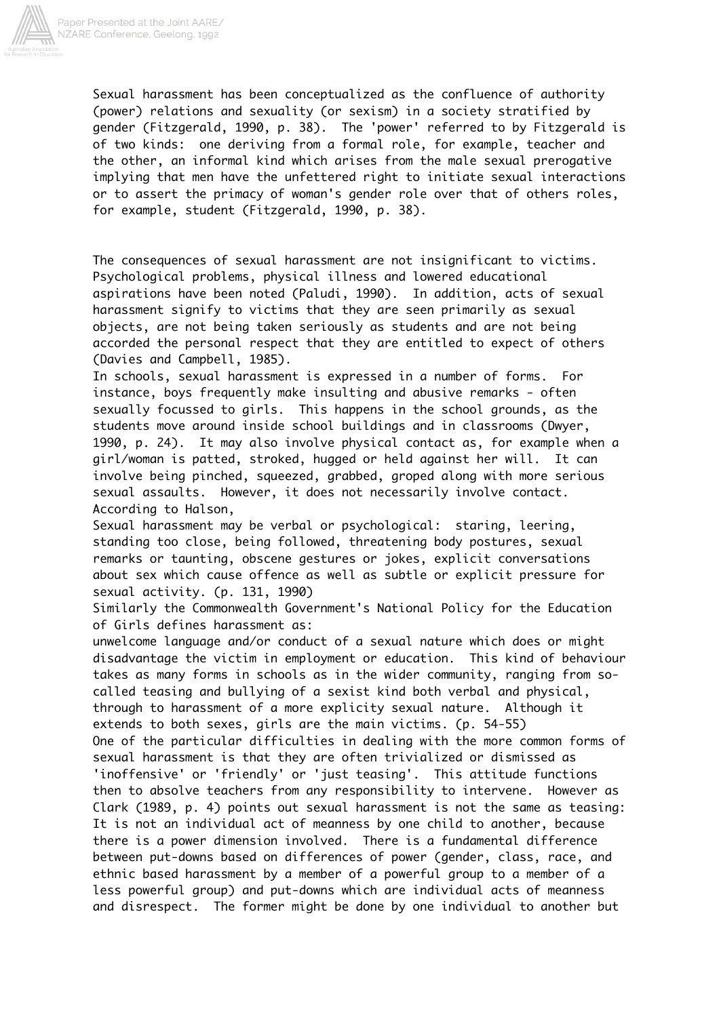

Sexual harassment has been conceptualized as the confluence of authority (power) relations and sexuality (or sexism) in a society stratified by gender (Fitzgerald, 1990, p. 38). The 'power' referred to by Fitzgerald is of two kinds: one deriving from a formal role, for example, teacher and the other, an informal kind which arises from the male sexual prerogative implying that men have the unfettered right to initiate sexual interactions or to assert the primacy of woman's gender role over that of others roles, for example, student (Fitzgerald, 1990, p. 38).

The consequences of sexual harassment are not insignificant to victims. Psychological problems, physical illness and lowered educational aspirations have been noted (Paludi, 1990). In addition, acts of sexual harassment signify to victims that they are seen primarily as sexual objects, are not being taken seriously as students and are not being accorded the personal respect that they are entitled to expect of others (Davies and Campbell, 1985).

In schools, sexual harassment is expressed in a number of forms. For instance, boys frequently make insulting and abusive remarks - often sexually focussed to girls. This happens in the school grounds, as the students move around inside school buildings and in classrooms (Dwyer, 1990, p. 24). It may also involve physical contact as, for example when a girl/woman is patted, stroked, hugged or held against her will. It can involve being pinched, squeezed, grabbed, groped along with more serious sexual assaults. However, it does not necessarily involve contact. According to Halson,

Sexual harassment may be verbal or psychological: staring, leering, standing too close, being followed, threatening body postures, sexual remarks or taunting, obscene gestures or jokes, explicit conversations about sex which cause offence as well as subtle or explicit pressure for sexual activity. (p. 131, 1990)

Similarly the Commonwealth Government's National Policy for the Education of Girls defines harassment as:

unwelcome language and/or conduct of a sexual nature which does or might disadvantage the victim in employment or education. This kind of behaviour takes as many forms in schools as in the wider community, ranging from socalled teasing and bullying of a sexist kind both verbal and physical, through to harassment of a more explicity sexual nature. Although it extends to both sexes, girls are the main victims. (p. 54-55) One of the particular difficulties in dealing with the more common forms of sexual harassment is that they are often trivialized or dismissed as 'inoffensive' or 'friendly' or 'just teasing'. This attitude functions then to absolve teachers from any responsibility to intervene. However as Clark (1989, p. 4) points out sexual harassment is not the same as teasing: It is not an individual act of meanness by one child to another, because there is a power dimension involved. There is a fundamental difference between put-downs based on differences of power (gender, class, race, and ethnic based harassment by a member of a powerful group to a member of a less powerful group) and put-downs which are individual acts of meanness and disrespect. The former might be done by one individual to another but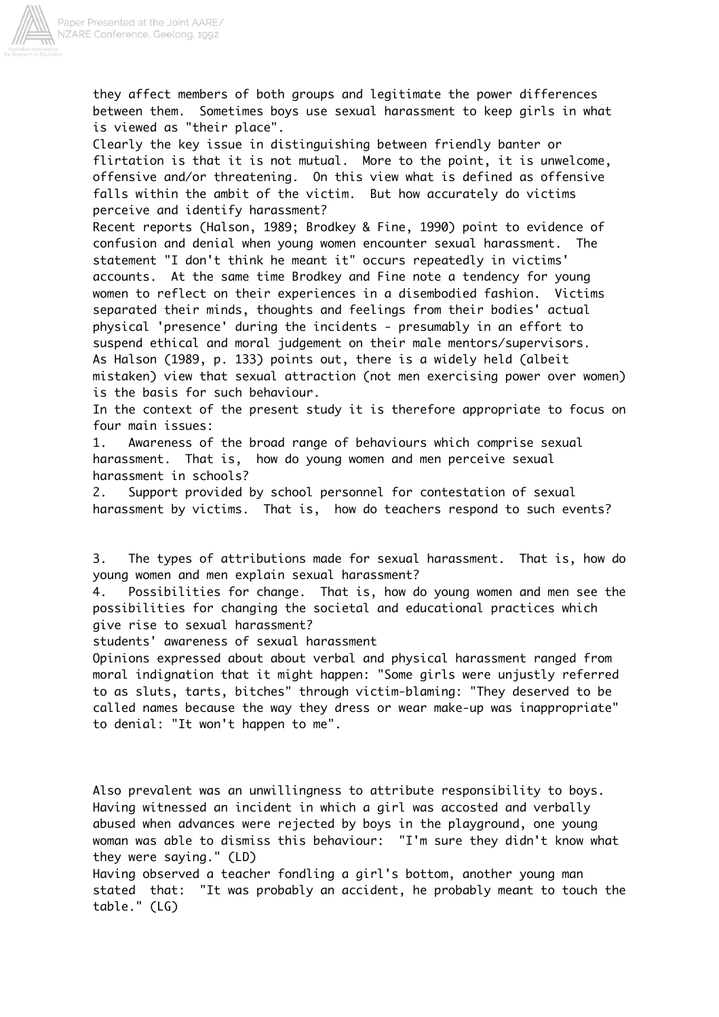

they affect members of both groups and legitimate the power differences between them. Sometimes boys use sexual harassment to keep girls in what is viewed as "their place".

Clearly the key issue in distinguishing between friendly banter or flirtation is that it is not mutual. More to the point, it is unwelcome, offensive and/or threatening. On this view what is defined as offensive falls within the ambit of the victim. But how accurately do victims perceive and identify harassment?

Recent reports (Halson, 1989; Brodkey & Fine, 1990) point to evidence of confusion and denial when young women encounter sexual harassment. The statement "I don't think he meant it" occurs repeatedly in victims' accounts. At the same time Brodkey and Fine note a tendency for young women to reflect on their experiences in a disembodied fashion. Victims separated their minds, thoughts and feelings from their bodies' actual physical 'presence' during the incidents - presumably in an effort to suspend ethical and moral judgement on their male mentors/supervisors. As Halson (1989, p. 133) points out, there is a widely held (albeit mistaken) view that sexual attraction (not men exercising power over women) is the basis for such behaviour.

In the context of the present study it is therefore appropriate to focus on four main issues:

1. Awareness of the broad range of behaviours which comprise sexual harassment. That is, how do young women and men perceive sexual harassment in schools?

2. Support provided by school personnel for contestation of sexual harassment by victims. That is, how do teachers respond to such events?

3. The types of attributions made for sexual harassment. That is, how do young women and men explain sexual harassment?

4. Possibilities for change. That is, how do young women and men see the possibilities for changing the societal and educational practices which give rise to sexual harassment?

students' awareness of sexual harassment

Opinions expressed about about verbal and physical harassment ranged from moral indignation that it might happen: "Some girls were unjustly referred to as sluts, tarts, bitches" through victim-blaming: "They deserved to be called names because the way they dress or wear make-up was inappropriate" to denial: "It won't happen to me".

Also prevalent was an unwillingness to attribute responsibility to boys. Having witnessed an incident in which a girl was accosted and verbally abused when advances were rejected by boys in the playground, one young woman was able to dismiss this behaviour: "I'm sure they didn't know what they were saying." (LD)

Having observed a teacher fondling a girl's bottom, another young man stated that: "It was probably an accident, he probably meant to touch the table." (LG)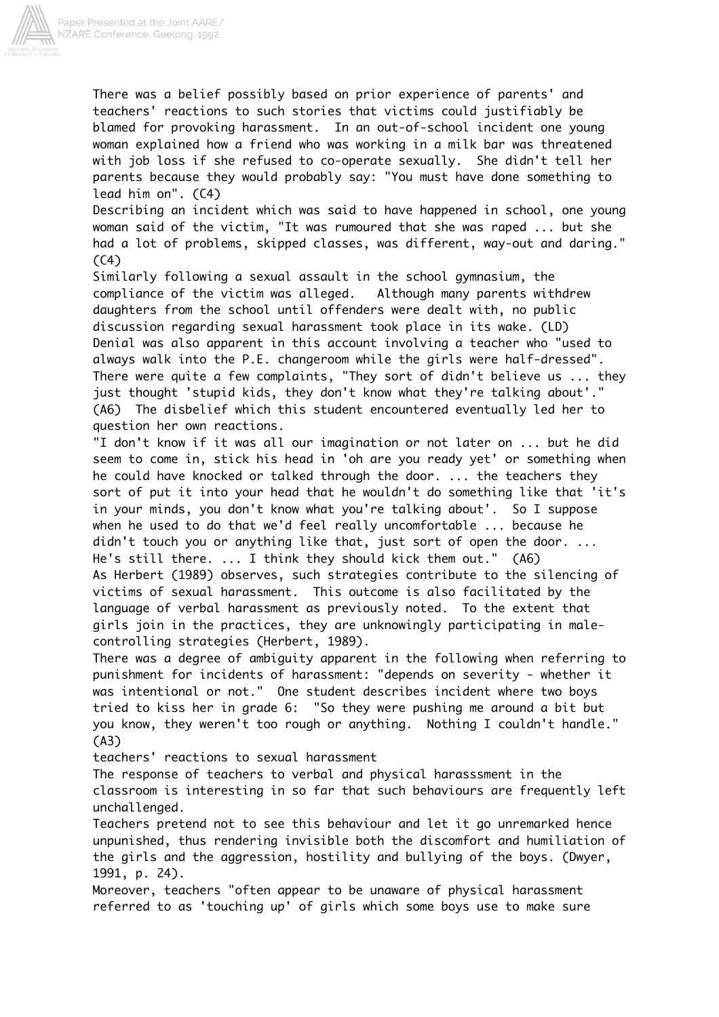

There was a belief possibly based on prior experience of parents' and teachers' reactions to such stories that victims could justifiably be blamed for provoking harassment. In an out-of-school incident one young woman explained how a friend who was working in a milk bar was threatened with job loss if she refused to co-operate sexually. She didn't tell her parents because they would probably say: "You must have done something to lead him on". (C4)

Describing an incident which was said to have happened in school, one young woman said of the victim, "It was rumoured that she was raped ... but she had a lot of problems, skipped classes, was different, way-out and daring."  $(C4)$ 

Similarly following a sexual assault in the school gymnasium, the compliance of the victim was alleged. Although many parents withdrew daughters from the school until offenders were dealt with, no public discussion regarding sexual harassment took place in its wake. (LD) Denial was also apparent in this account involving a teacher who "used to always walk into the P.E. changeroom while the girls were half-dressed". There were quite a few complaints, "They sort of didn't believe us ... they just thought 'stupid kids, they don't know what they're talking about'." (A6) The disbelief which this student encountered eventually led her to question her own reactions.

"I don't know if it was all our imagination or not later on ... but he did seem to come in, stick his head in 'oh are you ready yet' or something when he could have knocked or talked through the door. ... the teachers they sort of put it into your head that he wouldn't do something like that 'it's in your minds, you don't know what you're talking about'. So I suppose when he used to do that we'd feel really uncomfortable ... because he didn't touch you or anything like that, just sort of open the door. ... He's still there. ... I think they should kick them out." (A6) As Herbert (1989) observes, such strategies contribute to the silencing of victims of sexual harassment. This outcome is also facilitated by the language of verbal harassment as previously noted. To the extent that girls join in the practices, they are unknowingly participating in malecontrolling strategies (Herbert, 1989).

There was a degree of ambiguity apparent in the following when referring to punishment for incidents of harassment: "depends on severity - whether it was intentional or not." One student describes incident where two boys tried to kiss her in grade 6: "So they were pushing me around a bit but you know, they weren't too rough or anything. Nothing I couldn't handle." (A3)

teachers' reactions to sexual harassment

The response of teachers to verbal and physical harasssment in the classroom is interesting in so far that such behaviours are frequently left unchallenged.

Teachers pretend not to see this behaviour and let it go unremarked hence unpunished, thus rendering invisible both the discomfort and humiliation of the girls and the aggression, hostility and bullying of the boys. (Dwyer, 1991, p. 24).

Moreover, teachers "often appear to be unaware of physical harassment referred to as 'touching up' of girls which some boys use to make sure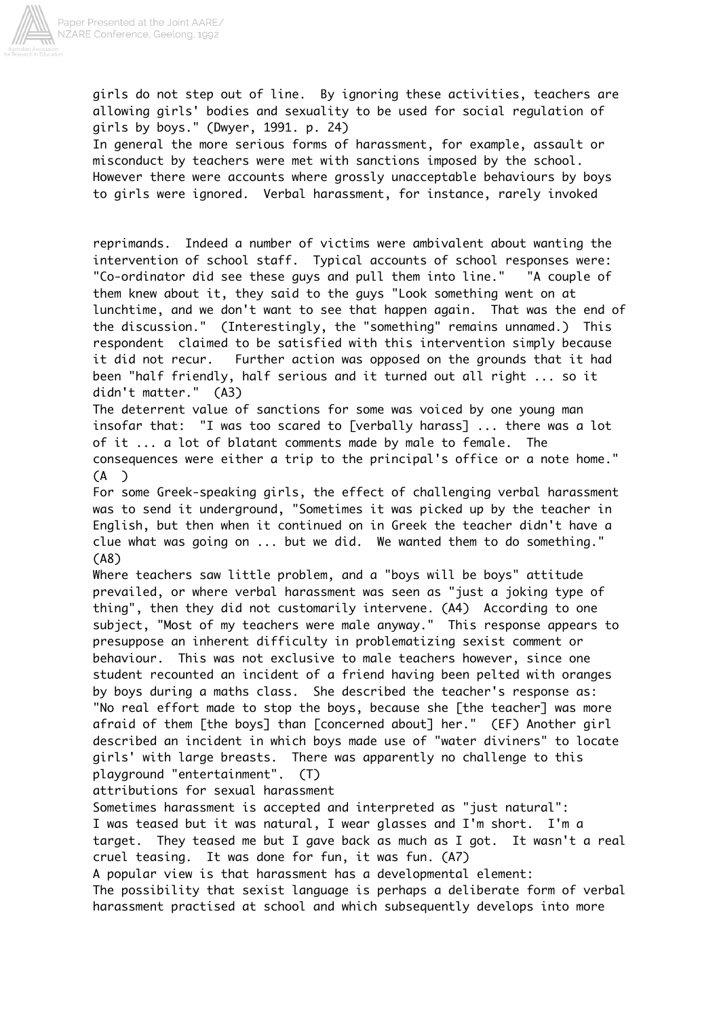

girls do not step out of line. By ignoring these activities, teachers are allowing girls' bodies and sexuality to be used for social regulation of girls by boys." (Dwyer, 1991. p. 24) In general the more serious forms of harassment, for example, assault or misconduct by teachers were met with sanctions imposed by the school. However there were accounts where grossly unacceptable behaviours by boys to girls were ignored. Verbal harassment, for instance, rarely invoked

reprimands. Indeed a number of victims were ambivalent about wanting the intervention of school staff. Typical accounts of school responses were: "Co-ordinator did see these guys and pull them into line." "A couple of them knew about it, they said to the guys "Look something went on at lunchtime, and we don't want to see that happen again. That was the end of the discussion." (Interestingly, the "something" remains unnamed.) This respondent claimed to be satisfied with this intervention simply because it did not recur. Further action was opposed on the grounds that it had been "half friendly, half serious and it turned out all right ... so it didn't matter." (A3)

The deterrent value of sanctions for some was voiced by one young man insofar that: "I was too scared to [verbally harass] ... there was a lot of it ... a lot of blatant comments made by male to female. The consequences were either a trip to the principal's office or a note home." (A )

For some Greek-speaking girls, the effect of challenging verbal harassment was to send it underground, "Sometimes it was picked up by the teacher in English, but then when it continued on in Greek the teacher didn't have a clue what was going on ... but we did. We wanted them to do something." (A8)

Where teachers saw little problem, and a "boys will be boys" attitude prevailed, or where verbal harassment was seen as "just a joking type of thing", then they did not customarily intervene. (A4) According to one subject, "Most of my teachers were male anyway." This response appears to presuppose an inherent difficulty in problematizing sexist comment or behaviour. This was not exclusive to male teachers however, since one student recounted an incident of a friend having been pelted with oranges by boys during a maths class. She described the teacher's response as: "No real effort made to stop the boys, because she [the teacher] was more afraid of them [the boys] than [concerned about] her." (EF) Another girl described an incident in which boys made use of "water diviners" to locate girls' with large breasts. There was apparently no challenge to this playground "entertainment". (T)

attributions for sexual harassment

Sometimes harassment is accepted and interpreted as "just natural": I was teased but it was natural, I wear glasses and I'm short. I'm a target. They teased me but I gave back as much as I got. It wasn't a real cruel teasing. It was done for fun, it was fun. (A7) A popular view is that harassment has a developmental element:

The possibility that sexist language is perhaps a deliberate form of verbal harassment practised at school and which subsequently develops into more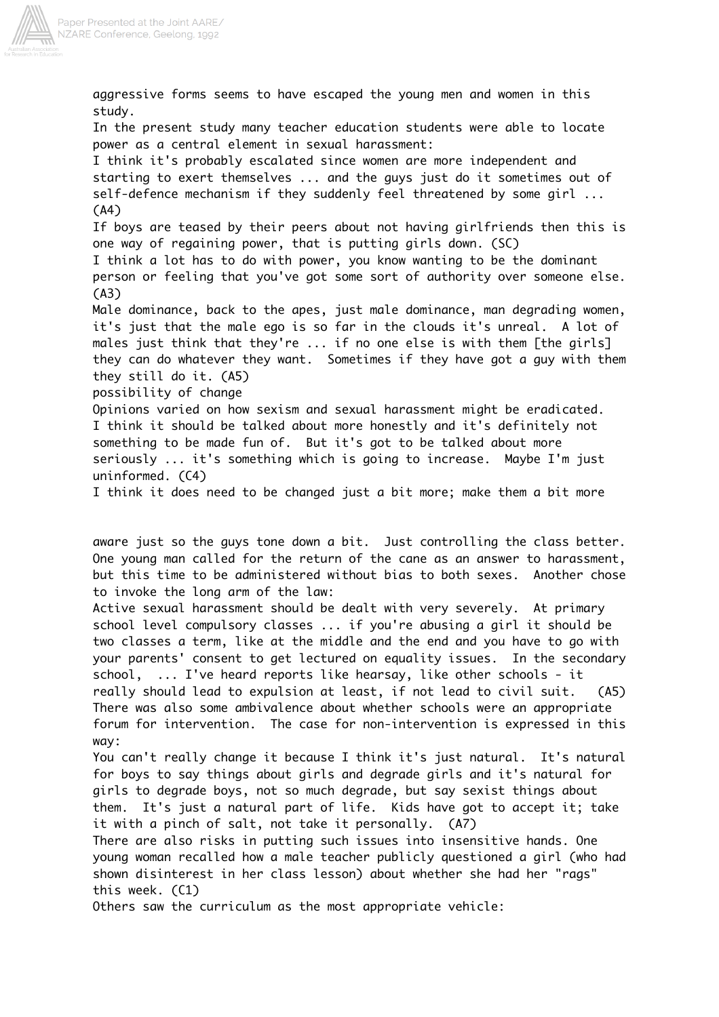

aggressive forms seems to have escaped the young men and women in this study. In the present study many teacher education students were able to locate power as a central element in sexual harassment: I think it's probably escalated since women are more independent and starting to exert themselves ... and the guys just do it sometimes out of self-defence mechanism if they suddenly feel threatened by some girl ... (A4) If boys are teased by their peers about not having girlfriends then this is one way of regaining power, that is putting girls down. (SC) I think a lot has to do with power, you know wanting to be the dominant person or feeling that you've got some sort of authority over someone else. (A3) Male dominance, back to the apes, just male dominance, man degrading women, it's just that the male ego is so far in the clouds it's unreal. A lot of males just think that they're ... if no one else is with them [the girls] they can do whatever they want. Sometimes if they have got a guy with them they still do it. (A5) possibility of change Opinions varied on how sexism and sexual harassment might be eradicated. I think it should be talked about more honestly and it's definitely not something to be made fun of. But it's got to be talked about more seriously ... it's something which is going to increase. Maybe I'm just uninformed. (C4) I think it does need to be changed just a bit more; make them a bit more

aware just so the guys tone down a bit. Just controlling the class better. One young man called for the return of the cane as an answer to harassment, but this time to be administered without bias to both sexes. Another chose to invoke the long arm of the law:

Active sexual harassment should be dealt with very severely. At primary school level compulsory classes ... if you're abusing a girl it should be two classes a term, like at the middle and the end and you have to go with your parents' consent to get lectured on equality issues. In the secondary school, ... I've heard reports like hearsay, like other schools - it really should lead to expulsion at least, if not lead to civil suit. (A5) There was also some ambivalence about whether schools were an appropriate forum for intervention. The case for non-intervention is expressed in this way:

You can't really change it because I think it's just natural. It's natural for boys to say things about girls and degrade girls and it's natural for girls to degrade boys, not so much degrade, but say sexist things about them. It's just a natural part of life. Kids have got to accept it; take it with a pinch of salt, not take it personally. (A7)

There are also risks in putting such issues into insensitive hands. One young woman recalled how a male teacher publicly questioned a girl (who had shown disinterest in her class lesson) about whether she had her "rags" this week. (C1)

Others saw the curriculum as the most appropriate vehicle: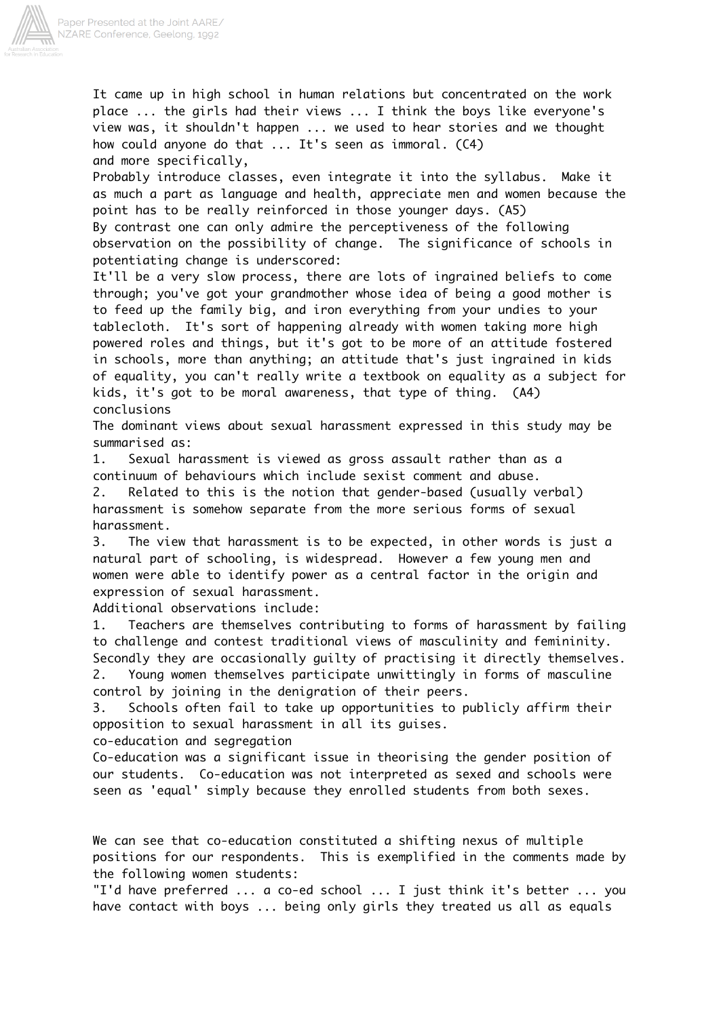

It came up in high school in human relations but concentrated on the work place ... the girls had their views ... I think the boys like everyone's view was, it shouldn't happen ... we used to hear stories and we thought how could anyone do that ... It's seen as immoral. (C4) and more specifically,

Probably introduce classes, even integrate it into the syllabus. Make it as much a part as language and health, appreciate men and women because the point has to be really reinforced in those younger days. (A5) By contrast one can only admire the perceptiveness of the following observation on the possibility of change. The significance of schools in

potentiating change is underscored:

It'll be a very slow process, there are lots of ingrained beliefs to come through; you've got your grandmother whose idea of being a good mother is to feed up the family big, and iron everything from your undies to your tablecloth. It's sort of happening already with women taking more high powered roles and things, but it's got to be more of an attitude fostered in schools, more than anything; an attitude that's just ingrained in kids of equality, you can't really write a textbook on equality as a subject for kids, it's got to be moral awareness, that type of thing. (A4) conclusions

The dominant views about sexual harassment expressed in this study may be summarised as:

1. Sexual harassment is viewed as gross assault rather than as a continuum of behaviours which include sexist comment and abuse.

2. Related to this is the notion that gender-based (usually verbal) harassment is somehow separate from the more serious forms of sexual harassment.

3. The view that harassment is to be expected, in other words is just a natural part of schooling, is widespread. However a few young men and women were able to identify power as a central factor in the origin and expression of sexual harassment.

Additional observations include:

1. Teachers are themselves contributing to forms of harassment by failing to challenge and contest traditional views of masculinity and femininity. Secondly they are occasionally guilty of practising it directly themselves. 2. Young women themselves participate unwittingly in forms of masculine control by joining in the denigration of their peers.

3. Schools often fail to take up opportunities to publicly affirm their opposition to sexual harassment in all its guises.

co-education and segregation

Co-education was a significant issue in theorising the gender position of our students. Co-education was not interpreted as sexed and schools were seen as 'equal' simply because they enrolled students from both sexes.

We can see that co-education constituted a shifting nexus of multiple positions for our respondents. This is exemplified in the comments made by the following women students:

"I'd have preferred ... a co-ed school ... I just think it's better ... you have contact with boys ... being only girls they treated us all as equals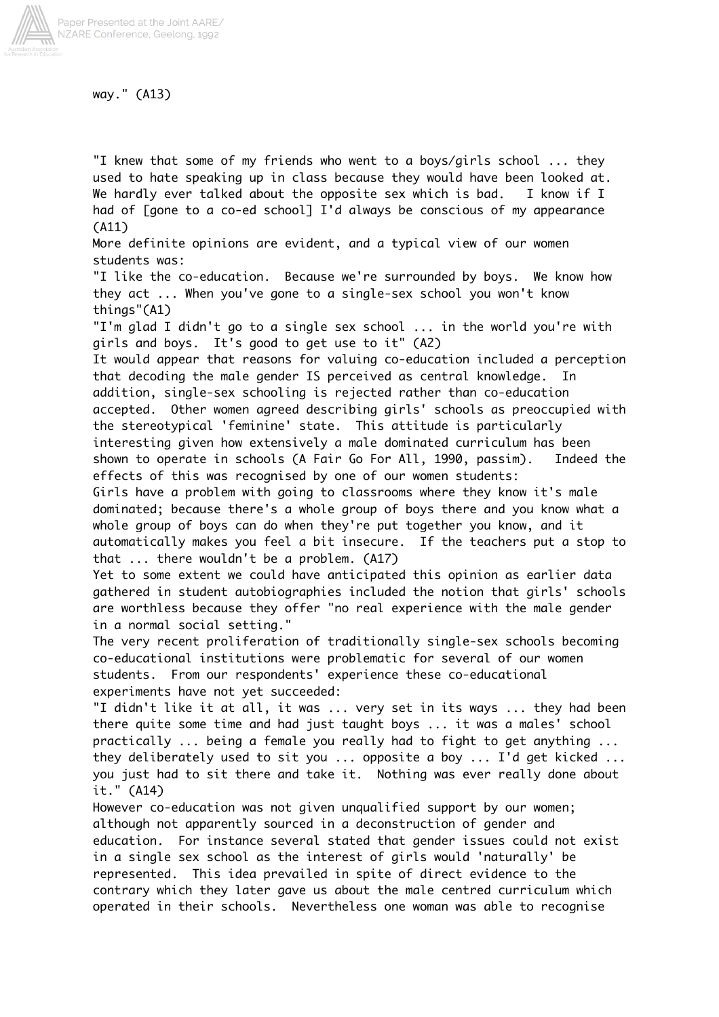

way." (A13)

"I knew that some of my friends who went to a boys/girls school ... they used to hate speaking up in class because they would have been looked at. We hardly ever talked about the opposite sex which is bad. I know if I had of [gone to a co-ed school] I'd always be conscious of my appearance (A11)

More definite opinions are evident, and a typical view of our women students was:

"I like the co-education. Because we're surrounded by boys. We know how they act ... When you've gone to a single-sex school you won't know things"(A1)

"I'm glad I didn't go to a single sex school ... in the world you're with girls and boys. It's good to get use to it" (A2)

It would appear that reasons for valuing co-education included a perception that decoding the male gender IS perceived as central knowledge. In addition, single-sex schooling is rejected rather than co-education accepted. Other women agreed describing girls' schools as preoccupied with the stereotypical 'feminine' state. This attitude is particularly interesting given how extensively a male dominated curriculum has been shown to operate in schools (A Fair Go For All, 1990, passim). Indeed the effects of this was recognised by one of our women students:

Girls have a problem with going to classrooms where they know it's male dominated; because there's a whole group of boys there and you know what a whole group of boys can do when they're put together you know, and it automatically makes you feel a bit insecure. If the teachers put a stop to that ... there wouldn't be a problem. (A17)

Yet to some extent we could have anticipated this opinion as earlier data gathered in student autobiographies included the notion that girls' schools are worthless because they offer "no real experience with the male gender in a normal social setting."

The very recent proliferation of traditionally single-sex schools becoming co-educational institutions were problematic for several of our women students. From our respondents' experience these co-educational experiments have not yet succeeded:

"I didn't like it at all, it was ... very set in its ways ... they had been there quite some time and had just taught boys ... it was a males' school practically ... being a female you really had to fight to get anything ... they deliberately used to sit you ... opposite a boy ... I'd get kicked ... you just had to sit there and take it. Nothing was ever really done about it." (A14)

However co-education was not given unqualified support by our women; although not apparently sourced in a deconstruction of gender and education. For instance several stated that gender issues could not exist in a single sex school as the interest of girls would 'naturally' be represented. This idea prevailed in spite of direct evidence to the contrary which they later gave us about the male centred curriculum which operated in their schools. Nevertheless one woman was able to recognise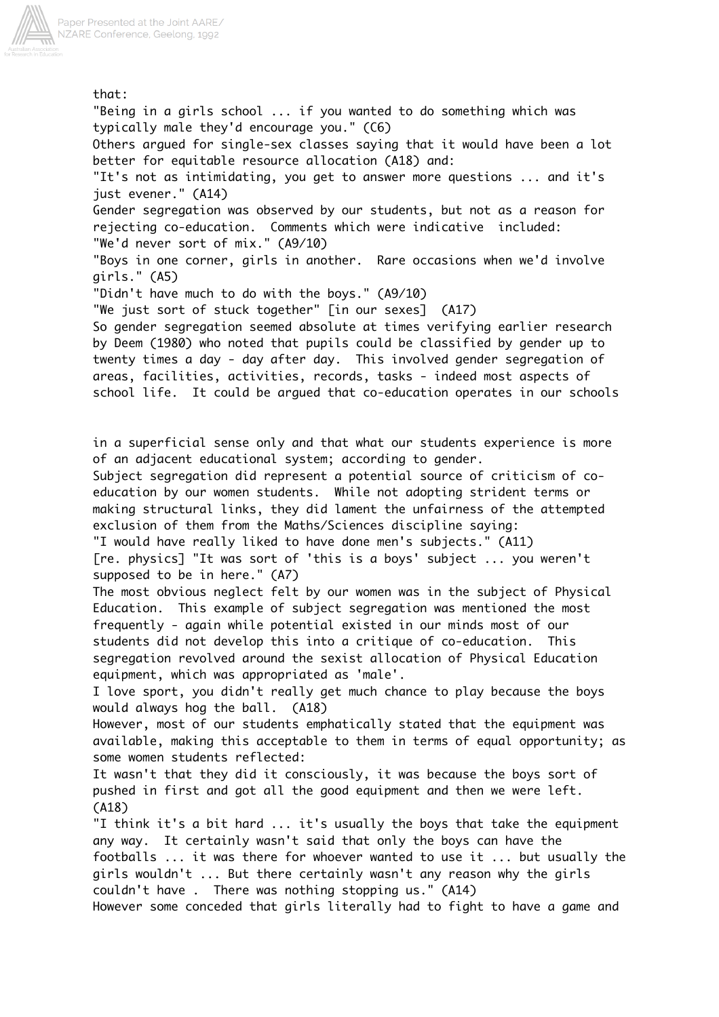

that: "Being in a girls school ... if you wanted to do something which was typically male they'd encourage you." (C6) Others argued for single-sex classes saying that it would have been a lot better for equitable resource allocation (A18) and: "It's not as intimidating, you get to answer more questions ... and it's just evener." (A14) Gender segregation was observed by our students, but not as a reason for rejecting co-education. Comments which were indicative included: "We'd never sort of mix." (A9/10) "Boys in one corner, girls in another. Rare occasions when we'd involve girls." (A5) "Didn't have much to do with the boys." (A9/10) "We just sort of stuck together" [in our sexes] (A17) So gender segregation seemed absolute at times verifying earlier research by Deem (1980) who noted that pupils could be classified by gender up to twenty times a day - day after day. This involved gender segregation of areas, facilities, activities, records, tasks - indeed most aspects of school life. It could be argued that co-education operates in our schools in a superficial sense only and that what our students experience is more of an adjacent educational system; according to gender. Subject segregation did represent a potential source of criticism of coeducation by our women students. While not adopting strident terms or making structural links, they did lament the unfairness of the attempted exclusion of them from the Maths/Sciences discipline saying: "I would have really liked to have done men's subjects." (A11) [re. physics] "It was sort of 'this is a boys' subject ... you weren't supposed to be in here." (A7) The most obvious neglect felt by our women was in the subject of Physical Education. This example of subject segregation was mentioned the most frequently - again while potential existed in our minds most of our students did not develop this into a critique of co-education. This segregation revolved around the sexist allocation of Physical Education equipment, which was appropriated as 'male'. I love sport, you didn't really get much chance to play because the boys would always hog the ball. (A18) However, most of our students emphatically stated that the equipment was available, making this acceptable to them in terms of equal opportunity; as some women students reflected: It wasn't that they did it consciously, it was because the boys sort of pushed in first and got all the good equipment and then we were left. (A18) "I think it's a bit hard ... it's usually the boys that take the equipment any way. It certainly wasn't said that only the boys can have the footballs ... it was there for whoever wanted to use it ... but usually the girls wouldn't ... But there certainly wasn't any reason why the girls couldn't have . There was nothing stopping us." (A14) However some conceded that girls literally had to fight to have a game and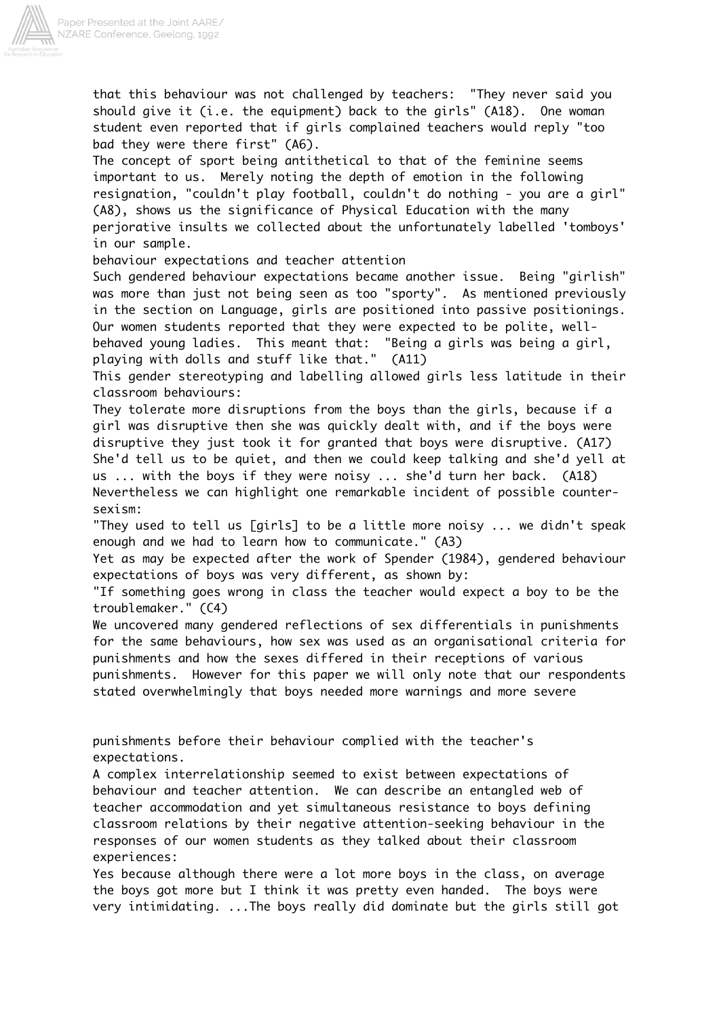

that this behaviour was not challenged by teachers: "They never said you should give it (i.e. the equipment) back to the girls" (A18). One woman student even reported that if girls complained teachers would reply "too bad they were there first" (A6).

The concept of sport being antithetical to that of the feminine seems important to us. Merely noting the depth of emotion in the following resignation, "couldn't play football, couldn't do nothing - you are a girl" (A8), shows us the significance of Physical Education with the many perjorative insults we collected about the unfortunately labelled 'tomboys' in our sample.

behaviour expectations and teacher attention

Such gendered behaviour expectations became another issue. Being "girlish" was more than just not being seen as too "sporty". As mentioned previously in the section on Language, girls are positioned into passive positionings. Our women students reported that they were expected to be polite, wellbehaved young ladies. This meant that: "Being a girls was being a girl, playing with dolls and stuff like that." (A11)

This gender stereotyping and labelling allowed girls less latitude in their classroom behaviours:

They tolerate more disruptions from the boys than the girls, because if a girl was disruptive then she was quickly dealt with, and if the boys were disruptive they just took it for granted that boys were disruptive. (A17) She'd tell us to be quiet, and then we could keep talking and she'd yell at us ... with the boys if they were noisy ... she'd turn her back. (A18) Nevertheless we can highlight one remarkable incident of possible countersexism:

"They used to tell us [girls] to be a little more noisy ... we didn't speak enough and we had to learn how to communicate." (A3)

Yet as may be expected after the work of Spender (1984), gendered behaviour expectations of boys was very different, as shown by:

"If something goes wrong in class the teacher would expect a boy to be the troublemaker." (C4)

We uncovered many gendered reflections of sex differentials in punishments for the same behaviours, how sex was used as an organisational criteria for punishments and how the sexes differed in their receptions of various punishments. However for this paper we will only note that our respondents stated overwhelmingly that boys needed more warnings and more severe

punishments before their behaviour complied with the teacher's expectations.

A complex interrelationship seemed to exist between expectations of behaviour and teacher attention. We can describe an entangled web of teacher accommodation and yet simultaneous resistance to boys defining classroom relations by their negative attention-seeking behaviour in the responses of our women students as they talked about their classroom experiences:

Yes because although there were a lot more boys in the class, on average the boys got more but I think it was pretty even handed. The boys were very intimidating. ...The boys really did dominate but the girls still got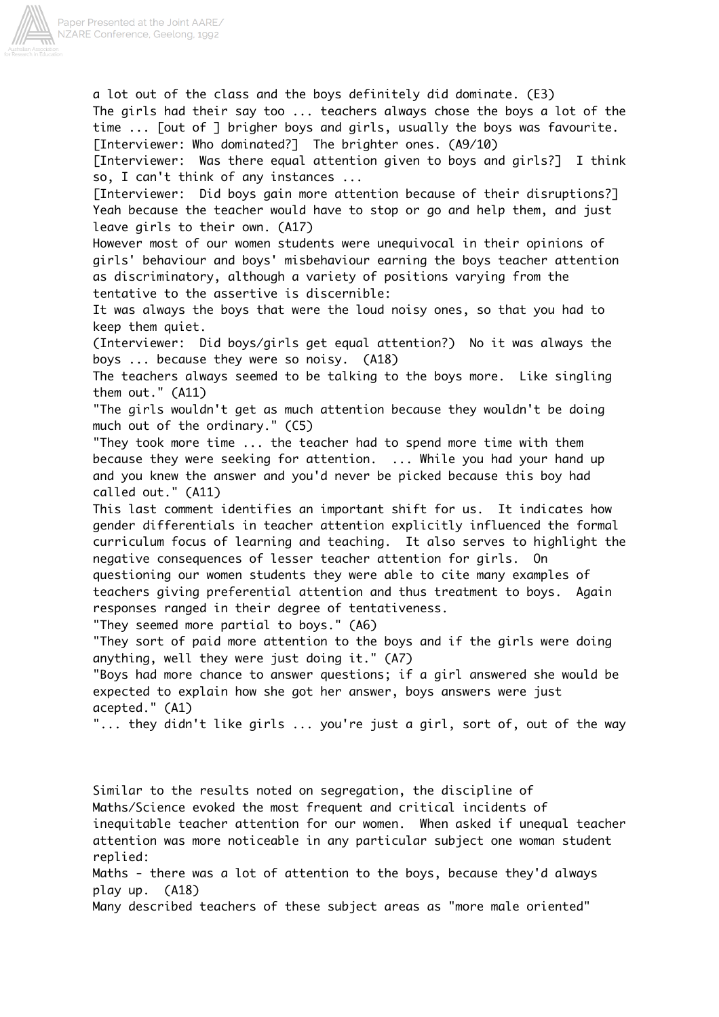

a lot out of the class and the boys definitely did dominate. (E3) The girls had their say too ... teachers always chose the boys a lot of the time ... [out of ] brigher boys and girls, usually the boys was favourite. [Interviewer: Who dominated?] The brighter ones. (A9/10) [Interviewer: Was there equal attention given to boys and girls?] I think so, I can't think of any instances ... [Interviewer: Did boys gain more attention because of their disruptions?] Yeah because the teacher would have to stop or go and help them, and just leave girls to their own. (A17) However most of our women students were unequivocal in their opinions of girls' behaviour and boys' misbehaviour earning the boys teacher attention as discriminatory, although a variety of positions varying from the tentative to the assertive is discernible: It was always the boys that were the loud noisy ones, so that you had to keep them quiet. (Interviewer: Did boys/girls get equal attention?) No it was always the boys ... because they were so noisy. (A18) The teachers always seemed to be talking to the boys more. Like singling them out." (A11) "The girls wouldn't get as much attention because they wouldn't be doing much out of the ordinary." (C5) "They took more time ... the teacher had to spend more time with them because they were seeking for attention. ... While you had your hand up and you knew the answer and you'd never be picked because this boy had called out." (A11) This last comment identifies an important shift for us. It indicates how gender differentials in teacher attention explicitly influenced the formal curriculum focus of learning and teaching. It also serves to highlight the negative consequences of lesser teacher attention for girls. On questioning our women students they were able to cite many examples of teachers giving preferential attention and thus treatment to boys. Again responses ranged in their degree of tentativeness. "They seemed more partial to boys." (A6) "They sort of paid more attention to the boys and if the girls were doing anything, well they were just doing it." (A7) "Boys had more chance to answer questions; if a girl answered she would be expected to explain how she got her answer, boys answers were just acepted." (A1) "... they didn't like girls ... you're just a girl, sort of, out of the way Similar to the results noted on segregation, the discipline of Maths/Science evoked the most frequent and critical incidents of inequitable teacher attention for our women. When asked if unequal teacher

attention was more noticeable in any particular subject one woman student replied: Maths - there was a lot of attention to the boys, because they'd always

play up. (A18) Many described teachers of these subject areas as "more male oriented"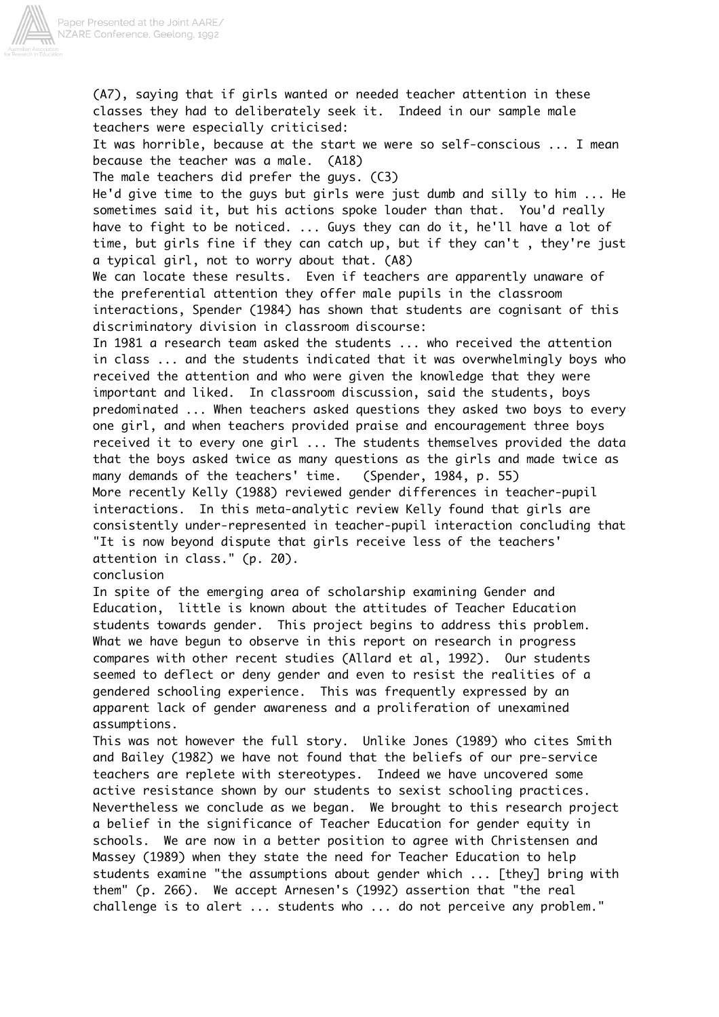

(A7), saying that if girls wanted or needed teacher attention in these classes they had to deliberately seek it. Indeed in our sample male teachers were especially criticised: It was horrible, because at the start we were so self-conscious ... I mean because the teacher was a male. (A18) The male teachers did prefer the guys. (C3) He'd give time to the guys but girls were just dumb and silly to him ... He sometimes said it, but his actions spoke louder than that. You'd really have to fight to be noticed. ... Guys they can do it, he'll have a lot of time, but girls fine if they can catch up, but if they can't , they're just a typical girl, not to worry about that. (A8) We can locate these results. Even if teachers are apparently unaware of the preferential attention they offer male pupils in the classroom interactions, Spender (1984) has shown that students are cognisant of this discriminatory division in classroom discourse: In 1981 a research team asked the students ... who received the attention in class ... and the students indicated that it was overwhelmingly boys who received the attention and who were given the knowledge that they were important and liked. In classroom discussion, said the students, boys predominated ... When teachers asked questions they asked two boys to every one girl, and when teachers provided praise and encouragement three boys received it to every one girl ... The students themselves provided the data that the boys asked twice as many questions as the girls and made twice as many demands of the teachers' time. (Spender, 1984, p. 55) More recently Kelly (1988) reviewed gender differences in teacher-pupil interactions. In this meta-analytic review Kelly found that girls are consistently under-represented in teacher-pupil interaction concluding that "It is now beyond dispute that girls receive less of the teachers' attention in class." (p. 20). conclusion In spite of the emerging area of scholarship examining Gender and Education, little is known about the attitudes of Teacher Education students towards gender. This project begins to address this problem. What we have begun to observe in this report on research in progress compares with other recent studies (Allard et al, 1992). Our students seemed to deflect or deny gender and even to resist the realities of a gendered schooling experience. This was frequently expressed by an apparent lack of gender awareness and a proliferation of unexamined assumptions.

This was not however the full story. Unlike Jones (1989) who cites Smith and Bailey (1982) we have not found that the beliefs of our pre-service teachers are replete with stereotypes. Indeed we have uncovered some active resistance shown by our students to sexist schooling practices. Nevertheless we conclude as we began. We brought to this research project a belief in the significance of Teacher Education for gender equity in schools. We are now in a better position to agree with Christensen and Massey (1989) when they state the need for Teacher Education to help students examine "the assumptions about gender which ... [they] bring with them" (p. 266). We accept Arnesen's (1992) assertion that "the real challenge is to alert ... students who ... do not perceive any problem."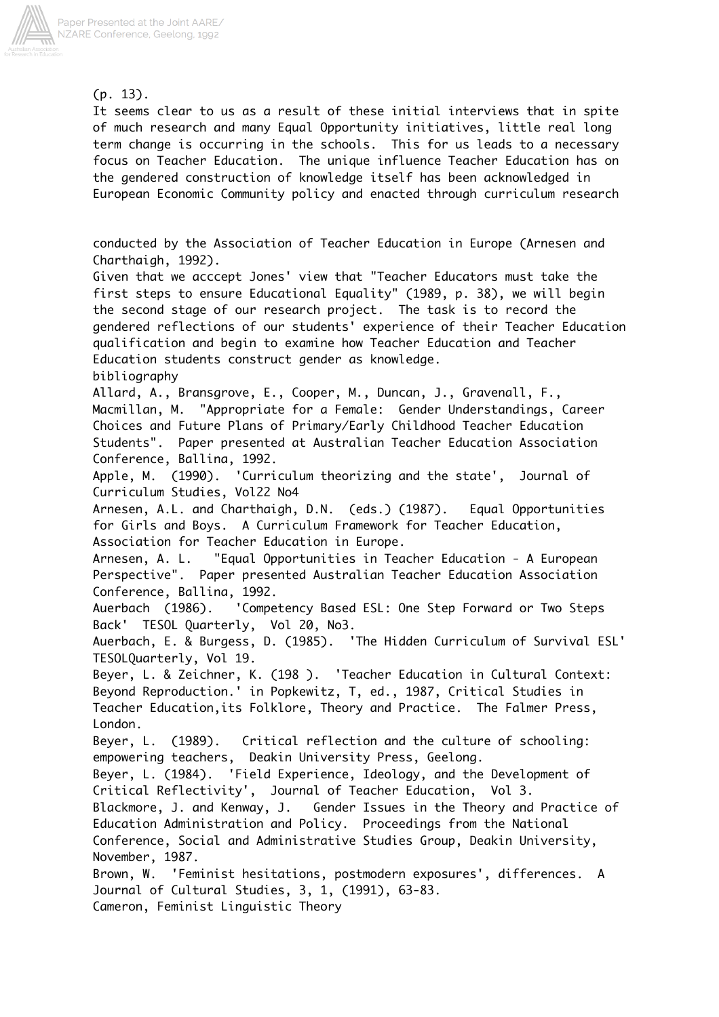

(p. 13).

It seems clear to us as a result of these initial interviews that in spite of much research and many Equal Opportunity initiatives, little real long term change is occurring in the schools. This for us leads to a necessary focus on Teacher Education. The unique influence Teacher Education has on the gendered construction of knowledge itself has been acknowledged in European Economic Community policy and enacted through curriculum research

conducted by the Association of Teacher Education in Europe (Arnesen and Charthaigh, 1992).

Given that we acccept Jones' view that "Teacher Educators must take the first steps to ensure Educational Equality" (1989, p. 38), we will begin the second stage of our research project. The task is to record the gendered reflections of our students' experience of their Teacher Education qualification and begin to examine how Teacher Education and Teacher Education students construct gender as knowledge. bibliography

Allard, A., Bransgrove, E., Cooper, M., Duncan, J., Gravenall, F., Macmillan, M. "Appropriate for a Female: Gender Understandings, Career Choices and Future Plans of Primary/Early Childhood Teacher Education Students". Paper presented at Australian Teacher Education Association Conference, Ballina, 1992.

Apple, M. (1990). 'Curriculum theorizing and the state', Journal of Curriculum Studies, Vol22 No4

Arnesen, A.L. and Charthaigh, D.N. (eds.) (1987). Equal Opportunities for Girls and Boys. A Curriculum Framework for Teacher Education, Association for Teacher Education in Europe.

Arnesen, A. L. "Equal Opportunities in Teacher Education - A European Perspective". Paper presented Australian Teacher Education Association Conference, Ballina, 1992.

Auerbach (1986). 'Competency Based ESL: One Step Forward or Two Steps Back' TESOL Quarterly, Vol 20, No3.

Auerbach, E. & Burgess, D. (1985). 'The Hidden Curriculum of Survival ESL' TESOLQuarterly, Vol 19.

Beyer, L. & Zeichner, K. (198 ). 'Teacher Education in Cultural Context: Beyond Reproduction.' in Popkewitz, T, ed., 1987, Critical Studies in Teacher Education,its Folklore, Theory and Practice. The Falmer Press, London.

Beyer, L. (1989). Critical reflection and the culture of schooling: empowering teachers, Deakin University Press, Geelong.

Beyer, L. (1984). 'Field Experience, Ideology, and the Development of Critical Reflectivity', Journal of Teacher Education, Vol 3.

Blackmore, J. and Kenway, J. Gender Issues in the Theory and Practice of Education Administration and Policy. Proceedings from the National Conference, Social and Administrative Studies Group, Deakin University,

November, 1987.

Brown, W. 'Feminist hesitations, postmodern exposures', differences. A Journal of Cultural Studies, 3, 1, (1991), 63-83. Cameron, Feminist Linguistic Theory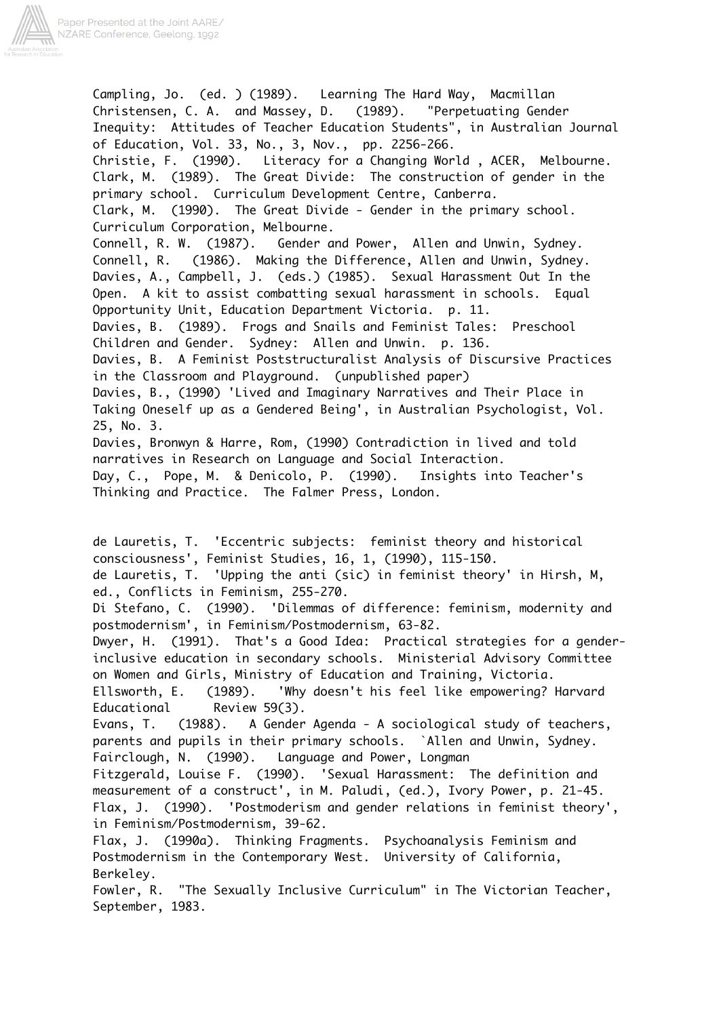

Campling, Jo. (ed. ) (1989). Learning The Hard Way, Macmillan Christensen, C. A. and Massey, D. (1989). "Perpetuating Gender Inequity: Attitudes of Teacher Education Students", in Australian Journal of Education, Vol. 33, No., 3, Nov., pp. 2256-266. Christie, F. (1990). Literacy for a Changing World , ACER, Melbourne. Clark, M. (1989). The Great Divide: The construction of gender in the primary school. Curriculum Development Centre, Canberra. Clark, M. (1990). The Great Divide - Gender in the primary school. Curriculum Corporation, Melbourne. Connell, R. W. (1987). Gender and Power, Allen and Unwin, Sydney. Connell, R. (1986). Making the Difference, Allen and Unwin, Sydney. Davies, A., Campbell, J. (eds.) (1985). Sexual Harassment Out In the Open. A kit to assist combatting sexual harassment in schools. Equal Opportunity Unit, Education Department Victoria. p. 11. Davies, B. (1989). Frogs and Snails and Feminist Tales: Preschool Children and Gender. Sydney: Allen and Unwin. p. 136. Davies, B. A Feminist Poststructuralist Analysis of Discursive Practices in the Classroom and Playground. (unpublished paper) Davies, B., (1990) 'Lived and Imaginary Narratives and Their Place in Taking Oneself up as a Gendered Being', in Australian Psychologist, Vol. 25, No. 3. Davies, Bronwyn & Harre, Rom, (1990) Contradiction in lived and told narratives in Research on Language and Social Interaction. Day, C., Pope, M. & Denicolo, P. (1990). Insights into Teacher's Thinking and Practice. The Falmer Press, London. de Lauretis, T. 'Eccentric subjects: feminist theory and historical consciousness', Feminist Studies, 16, 1, (1990), 115-150. de Lauretis, T. 'Upping the anti (sic) in feminist theory' in Hirsh, M, ed., Conflicts in Feminism, 255-270. Di Stefano, C. (1990). 'Dilemmas of difference: feminism, modernity and postmodernism', in Feminism/Postmodernism, 63-82. Dwyer, H. (1991). That's a Good Idea: Practical strategies for a genderinclusive education in secondary schools. Ministerial Advisory Committee on Women and Girls, Ministry of Education and Training, Victoria. Ellsworth, E. (1989). 'Why doesn't his feel like empowering? Harvard Educational Review 59(3). Evans, T. (1988). A Gender Agenda - A sociological study of teachers, parents and pupils in their primary schools. `Allen and Unwin, Sydney. Fairclough, N. (1990). Language and Power, Longman Fitzgerald, Louise F. (1990). 'Sexual Harassment: The definition and measurement of a construct', in M. Paludi, (ed.), Ivory Power, p. 21-45. Flax, J. (1990). 'Postmoderism and gender relations in feminist theory', in Feminism/Postmodernism, 39-62. Flax, J. (1990a). Thinking Fragments. Psychoanalysis Feminism and Postmodernism in the Contemporary West. University of California, Berkeley. Fowler, R. "The Sexually Inclusive Curriculum" in The Victorian Teacher, September, 1983.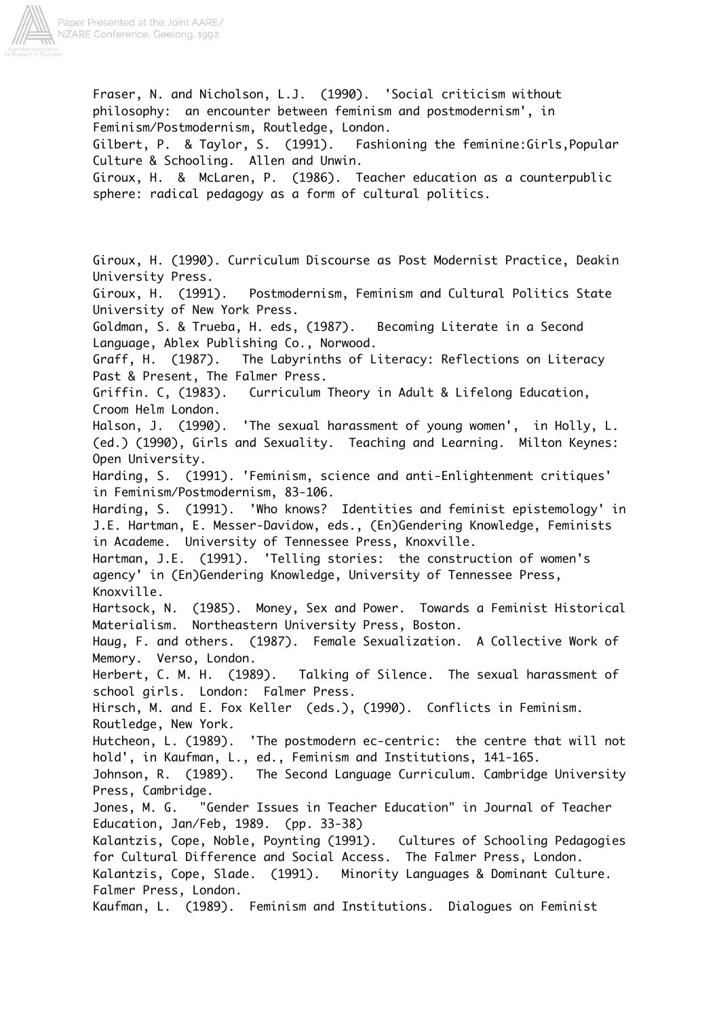

Feminism/Postmodernism, Routledge, London. Gilbert, P. & Taylor, S. (1991). Fashioning the feminine:Girls,Popular Culture & Schooling. Allen and Unwin. Giroux, H. & McLaren, P. (1986). Teacher education as a counterpublic sphere: radical pedagogy as a form of cultural politics. Giroux, H. (1990). Curriculum Discourse as Post Modernist Practice, Deakin University Press. Giroux, H. (1991). Postmodernism, Feminism and Cultural Politics State University of New York Press. Goldman, S. & Trueba, H. eds, (1987). Becoming Literate in a Second Language, Ablex Publishing Co., Norwood. Graff, H. (1987). The Labyrinths of Literacy: Reflections on Literacy Past & Present, The Falmer Press. Griffin. C, (1983). Curriculum Theory in Adult & Lifelong Education, Croom Helm London. Halson, J. (1990). 'The sexual harassment of young women', in Holly, L. (ed.) (1990), Girls and Sexuality. Teaching and Learning. Milton Keynes: Open University. Harding, S. (1991). 'Feminism, science and anti-Enlightenment critiques' in Feminism/Postmodernism, 83-106. Harding, S. (1991). 'Who knows? Identities and feminist epistemology' in J.E. Hartman, E. Messer-Davidow, eds., (En)Gendering Knowledge, Feminists in Academe. University of Tennessee Press, Knoxville. Hartman, J.E. (1991). 'Telling stories: the construction of women's agency' in (En)Gendering Knowledge, University of Tennessee Press, Knoxville. Hartsock, N. (1985). Money, Sex and Power. Towards a Feminist Historical Materialism. Northeastern University Press, Boston. Haug, F. and others. (1987). Female Sexualization. A Collective Work of Memory. Verso, London. Herbert, C. M. H. (1989). Talking of Silence. The sexual harassment of school girls. London: Falmer Press. Hirsch, M. and E. Fox Keller (eds.), (1990). Conflicts in Feminism. Routledge, New York. Hutcheon, L. (1989). 'The postmodern ec-centric: the centre that will not hold', in Kaufman, L., ed., Feminism and Institutions, 141-165. Johnson, R. (1989). The Second Language Curriculum. Cambridge University Press, Cambridge. Jones, M. G. "Gender Issues in Teacher Education" in Journal of Teacher Education, Jan/Feb, 1989. (pp. 33-38) Kalantzis, Cope, Noble, Poynting (1991). Cultures of Schooling Pedagogies for Cultural Difference and Social Access. The Falmer Press, London. Kalantzis, Cope, Slade. (1991). Minority Languages & Dominant Culture. Falmer Press, London. Kaufman, L. (1989). Feminism and Institutions. Dialogues on Feminist

Fraser, N. and Nicholson, L.J. (1990). 'Social criticism without philosophy: an encounter between feminism and postmodernism', in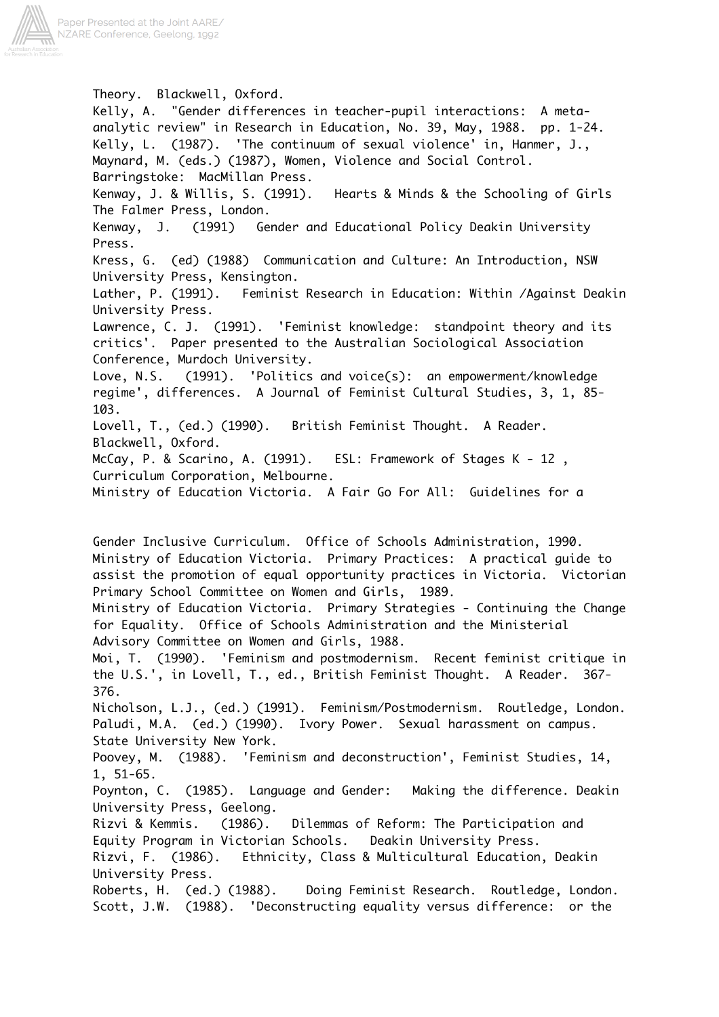

Theory. Blackwell, Oxford. Kelly, A. "Gender differences in teacher-pupil interactions: A metaanalytic review" in Research in Education, No. 39, May, 1988. pp. 1-24. Kelly, L. (1987). 'The continuum of sexual violence' in, Hanmer, J., Maynard, M. (eds.) (1987), Women, Violence and Social Control. Barringstoke: MacMillan Press. Kenway, J. & Willis, S. (1991). Hearts & Minds & the Schooling of Girls The Falmer Press, London. Kenway, J. (1991) Gender and Educational Policy Deakin University Press. Kress, G. (ed) (1988) Communication and Culture: An Introduction, NSW University Press, Kensington. Lather, P. (1991). Feminist Research in Education: Within /Against Deakin University Press. Lawrence, C. J. (1991). 'Feminist knowledge: standpoint theory and its critics'. Paper presented to the Australian Sociological Association Conference, Murdoch University. Love, N.S. (1991). 'Politics and voice(s): an empowerment/knowledge regime', differences. A Journal of Feminist Cultural Studies, 3, 1, 85- 103. Lovell, T., (ed.) (1990). British Feminist Thought. A Reader. Blackwell, Oxford. McCay, P. & Scarino, A. (1991). ESL: Framework of Stages K - 12 , Curriculum Corporation, Melbourne. Ministry of Education Victoria. A Fair Go For All: Guidelines for a

Gender Inclusive Curriculum. Office of Schools Administration, 1990. Ministry of Education Victoria. Primary Practices: A practical guide to assist the promotion of equal opportunity practices in Victoria. Victorian Primary School Committee on Women and Girls, 1989. Ministry of Education Victoria. Primary Strategies - Continuing the Change for Equality. Office of Schools Administration and the Ministerial Advisory Committee on Women and Girls, 1988. Moi, T. (1990). 'Feminism and postmodernism. Recent feminist critique in the U.S.', in Lovell, T., ed., British Feminist Thought. A Reader. 367- 376. Nicholson, L.J., (ed.) (1991). Feminism/Postmodernism. Routledge, London. Paludi, M.A. (ed.) (1990). Ivory Power. Sexual harassment on campus. State University New York. Poovey, M. (1988). 'Feminism and deconstruction', Feminist Studies, 14, 1, 51-65. Poynton, C. (1985). Language and Gender: Making the difference. Deakin University Press, Geelong. Rizvi & Kemmis. (1986). Dilemmas of Reform: The Participation and Equity Program in Victorian Schools. Deakin University Press. Rizvi, F. (1986). Ethnicity, Class & Multicultural Education, Deakin University Press. Roberts, H. (ed.) (1988). Doing Feminist Research. Routledge, London. Scott, J.W. (1988). 'Deconstructing equality versus difference: or the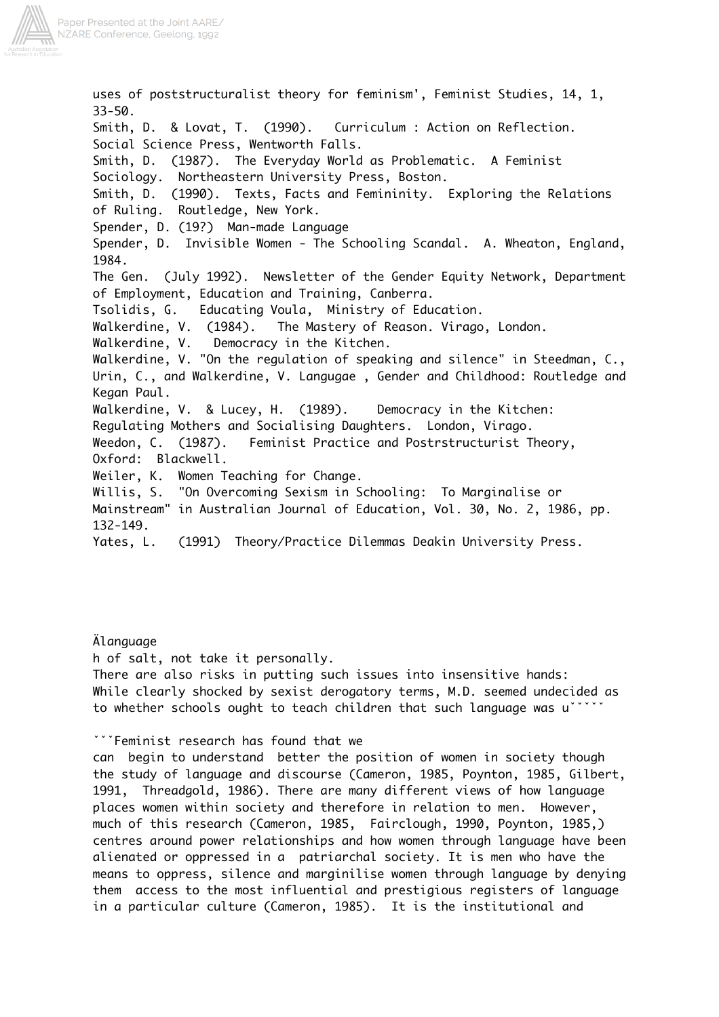

uses of poststructuralist theory for feminism', Feminist Studies, 14, 1, 33-50. Smith, D. & Lovat, T. (1990). Curriculum : Action on Reflection. Social Science Press, Wentworth Falls. Smith, D. (1987). The Everyday World as Problematic. A Feminist Sociology. Northeastern University Press, Boston. Smith, D. (1990). Texts, Facts and Femininity. Exploring the Relations of Ruling. Routledge, New York. Spender, D. (19?) Man-made Language Spender, D. Invisible Women - The Schooling Scandal. A. Wheaton, England, 1984. The Gen. (July 1992). Newsletter of the Gender Equity Network, Department of Employment, Education and Training, Canberra. Tsolidis, G. Educating Voula, Ministry of Education. Walkerdine, V. (1984). The Mastery of Reason. Virago, London. Walkerdine, V. Democracy in the Kitchen. Walkerdine, V. "On the regulation of speaking and silence" in Steedman, C., Urin, C., and Walkerdine, V. Langugae , Gender and Childhood: Routledge and Kegan Paul. Walkerdine, V. & Lucey, H. (1989). Democracy in the Kitchen: Regulating Mothers and Socialising Daughters. London, Virago. Weedon, C. (1987). Feminist Practice and Postrstructurist Theory, Oxford: Blackwell. Weiler, K. Women Teaching for Change. Willis, S. "On Overcoming Sexism in Schooling: To Marginalise or Mainstream" in Australian Journal of Education, Vol. 30, No. 2, 1986, pp. 132-149. Yates, L. (1991) Theory/Practice Dilemmas Deakin University Press.

Älanguage h of salt, not take it personally. There are also risks in putting such issues into insensitive hands: While clearly shocked by sexist derogatory terms, M.D. seemed undecided as to whether schools ought to teach children that such language was uˇˇˇˇˇ

### ˇˇˇFeminist research has found that we

can begin to understand better the position of women in society though the study of language and discourse (Cameron, 1985, Poynton, 1985, Gilbert, 1991, Threadgold, 1986). There are many different views of how language places women within society and therefore in relation to men. However, much of this research (Cameron, 1985, Fairclough, 1990, Poynton, 1985,) centres around power relationships and how women through language have been alienated or oppressed in a patriarchal society. It is men who have the means to oppress, silence and marginilise women through language by denying them access to the most influential and prestigious registers of language in a particular culture (Cameron, 1985). It is the institutional and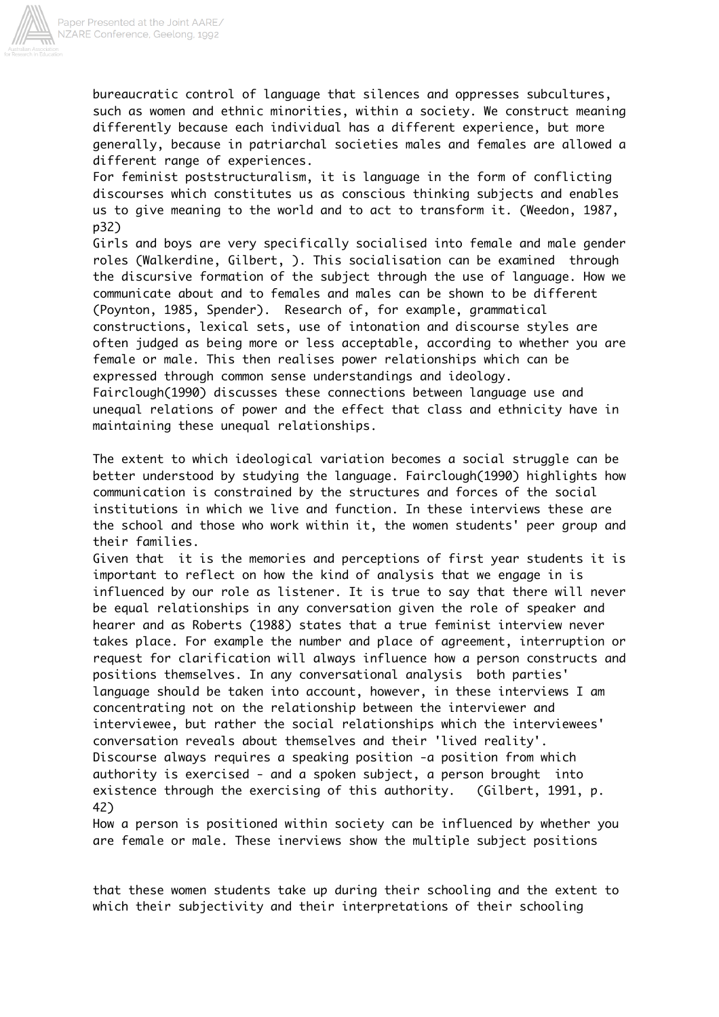

bureaucratic control of language that silences and oppresses subcultures, such as women and ethnic minorities, within a society. We construct meaning differently because each individual has a different experience, but more generally, because in patriarchal societies males and females are allowed a different range of experiences.

For feminist poststructuralism, it is language in the form of conflicting discourses which constitutes us as conscious thinking subjects and enables us to give meaning to the world and to act to transform it. (Weedon, 1987, p32)

Girls and boys are very specifically socialised into female and male gender roles (Walkerdine, Gilbert, ). This socialisation can be examined through the discursive formation of the subject through the use of language. How we communicate about and to females and males can be shown to be different (Poynton, 1985, Spender). Research of, for example, grammatical constructions, lexical sets, use of intonation and discourse styles are often judged as being more or less acceptable, according to whether you are female or male. This then realises power relationships which can be expressed through common sense understandings and ideology. Fairclough(1990) discusses these connections between language use and unequal relations of power and the effect that class and ethnicity have in maintaining these unequal relationships.

The extent to which ideological variation becomes a social struggle can be better understood by studying the language. Fairclough(1990) highlights how communication is constrained by the structures and forces of the social institutions in which we live and function. In these interviews these are the school and those who work within it, the women students' peer group and their families.

Given that it is the memories and perceptions of first year students it is important to reflect on how the kind of analysis that we engage in is influenced by our role as listener. It is true to say that there will never be equal relationships in any conversation given the role of speaker and hearer and as Roberts (1988) states that a true feminist interview never takes place. For example the number and place of agreement, interruption or request for clarification will always influence how a person constructs and positions themselves. In any conversational analysis both parties' language should be taken into account, however, in these interviews I am concentrating not on the relationship between the interviewer and interviewee, but rather the social relationships which the interviewees' conversation reveals about themselves and their 'lived reality'. Discourse always requires a speaking position -a position from which authority is exercised - and a spoken subject, a person brought into existence through the exercising of this authority. (Gilbert, 1991, p. 42)

How a person is positioned within society can be influenced by whether you are female or male. These inerviews show the multiple subject positions

that these women students take up during their schooling and the extent to which their subjectivity and their interpretations of their schooling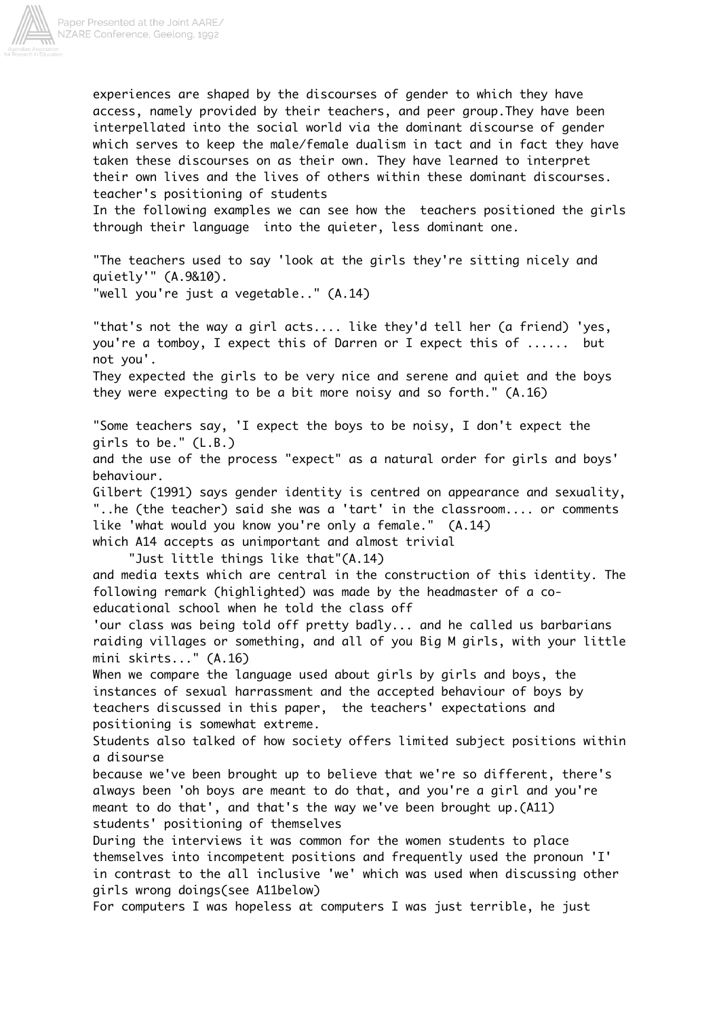

experiences are shaped by the discourses of gender to which they have access, namely provided by their teachers, and peer group.They have been interpellated into the social world via the dominant discourse of gender which serves to keep the male/female dualism in tact and in fact they have taken these discourses on as their own. They have learned to interpret their own lives and the lives of others within these dominant discourses. teacher's positioning of students

In the following examples we can see how the teachers positioned the girls through their language into the quieter, less dominant one.

"The teachers used to say 'look at the girls they're sitting nicely and quietly'" (A.9&10). "well you're just a vegetable.." (A.14)

"that's not the way a girl acts.... like they'd tell her (a friend) 'yes, you're a tomboy, I expect this of Darren or I expect this of ...... but not you'. They expected the girls to be very nice and serene and quiet and the boys they were expecting to be a bit more noisy and so forth." (A.16) "Some teachers say, 'I expect the boys to be noisy, I don't expect the girls to be." (L.B.)

and the use of the process "expect" as a natural order for girls and boys' behaviour.

Gilbert (1991) says gender identity is centred on appearance and sexuality, "..he (the teacher) said she was a 'tart' in the classroom.... or comments like 'what would you know you're only a female." (A.14) which A14 accepts as unimportant and almost trivial

"Just little things like that"(A.14)

and media texts which are central in the construction of this identity. The following remark (highlighted) was made by the headmaster of a coeducational school when he told the class off

'our class was being told off pretty badly... and he called us barbarians raiding villages or something, and all of you Big M girls, with your little mini skirts..." (A.16)

When we compare the language used about girls by girls and boys, the instances of sexual harrassment and the accepted behaviour of boys by teachers discussed in this paper, the teachers' expectations and positioning is somewhat extreme.

Students also talked of how society offers limited subject positions within a disourse

because we've been brought up to believe that we're so different, there's always been 'oh boys are meant to do that, and you're a girl and you're meant to do that', and that's the way we've been brought up.(A11) students' positioning of themselves

During the interviews it was common for the women students to place themselves into incompetent positions and frequently used the pronoun 'I' in contrast to the all inclusive 'we' which was used when discussing other girls wrong doings(see A11below)

For computers I was hopeless at computers I was just terrible, he just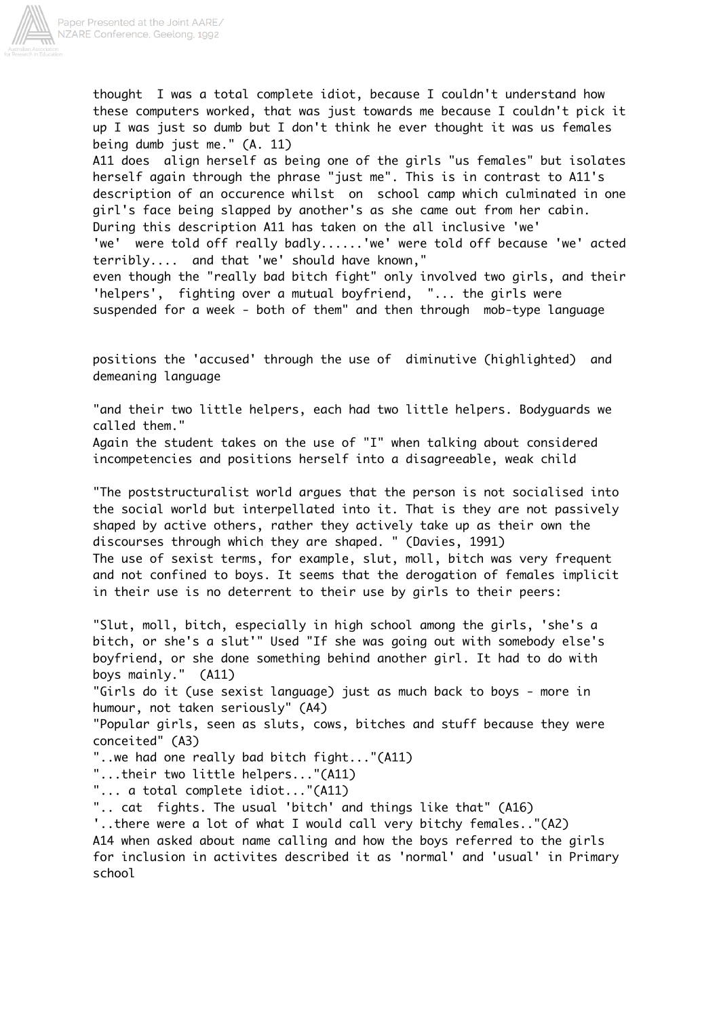

thought I was a total complete idiot, because I couldn't understand how these computers worked, that was just towards me because I couldn't pick it up I was just so dumb but I don't think he ever thought it was us females being dumb just me." (A. 11) A11 does align herself as being one of the girls "us females" but isolates herself again through the phrase "just me". This is in contrast to A11's description of an occurence whilst on school camp which culminated in one girl's face being slapped by another's as she came out from her cabin. During this description A11 has taken on the all inclusive 'we' 'we' were told off really badly......'we' were told off because 'we' acted terribly.... and that 'we' should have known," even though the "really bad bitch fight" only involved two girls, and their 'helpers', fighting over a mutual boyfriend, "... the girls were suspended for a week - both of them" and then through mob-type language

positions the 'accused' through the use of diminutive (highlighted) and demeaning language

"and their two little helpers, each had two little helpers. Bodyguards we called them."

Again the student takes on the use of "I" when talking about considered incompetencies and positions herself into a disagreeable, weak child

"The poststructuralist world argues that the person is not socialised into the social world but interpellated into it. That is they are not passively shaped by active others, rather they actively take up as their own the discourses through which they are shaped. " (Davies, 1991) The use of sexist terms, for example, slut, moll, bitch was very frequent and not confined to boys. It seems that the derogation of females implicit in their use is no deterrent to their use by girls to their peers:

"Slut, moll, bitch, especially in high school among the girls, 'she's a bitch, or she's a slut'" Used "If she was going out with somebody else's boyfriend, or she done something behind another girl. It had to do with boys mainly." (A11)

"Girls do it (use sexist language) just as much back to boys - more in humour, not taken seriously" (A4)

"Popular girls, seen as sluts, cows, bitches and stuff because they were conceited" (A3)

"..we had one really bad bitch fight..."(A11)

"...their two little helpers..."(A11)

"... a total complete idiot..."(A11)

".. cat fights. The usual 'bitch' and things like that" (A16)

'..there were a lot of what I would call very bitchy females.."(A2) A14 when asked about name calling and how the boys referred to the girls for inclusion in activites described it as 'normal' and 'usual' in Primary school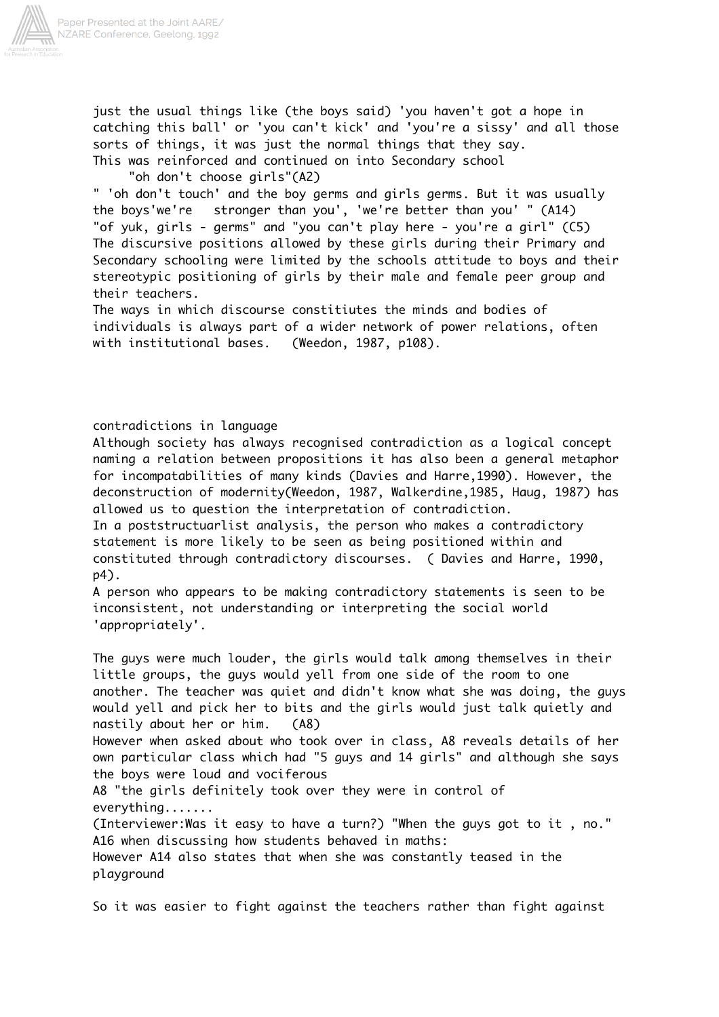

just the usual things like (the boys said) 'you haven't got a hope in catching this ball' or 'you can't kick' and 'you're a sissy' and all those sorts of things, it was just the normal things that they say. This was reinforced and continued on into Secondary school

"oh don't choose girls"(A2)

" 'oh don't touch' and the boy germs and girls germs. But it was usually the boys'we're stronger than you', 'we're better than you' " (A14) "of yuk, girls - germs" and "you can't play here - you're a girl" (C5) The discursive positions allowed by these girls during their Primary and Secondary schooling were limited by the schools attitude to boys and their stereotypic positioning of girls by their male and female peer group and their teachers.

The ways in which discourse constitiutes the minds and bodies of individuals is always part of a wider network of power relations, often with institutional bases. (Weedon, 1987, p108).

# contradictions in language

Although society has always recognised contradiction as a logical concept naming a relation between propositions it has also been a general metaphor for incompatabilities of many kinds (Davies and Harre,1990). However, the deconstruction of modernity(Weedon, 1987, Walkerdine,1985, Haug, 1987) has allowed us to question the interpretation of contradiction.

In a poststructuarlist analysis, the person who makes a contradictory statement is more likely to be seen as being positioned within and constituted through contradictory discourses. ( Davies and Harre, 1990, p4).

A person who appears to be making contradictory statements is seen to be inconsistent, not understanding or interpreting the social world 'appropriately'.

The guys were much louder, the girls would talk among themselves in their little groups, the guys would yell from one side of the room to one another. The teacher was quiet and didn't know what she was doing, the guys would yell and pick her to bits and the girls would just talk quietly and nastily about her or him. (A8) However when asked about who took over in class, A8 reveals details of her

own particular class which had "5 guys and 14 girls" and although she says the boys were loud and vociferous

A8 "the girls definitely took over they were in control of everything.......

(Interviewer:Was it easy to have a turn?) "When the guys got to it , no." A16 when discussing how students behaved in maths: However A14 also states that when she was constantly teased in the playground

So it was easier to fight against the teachers rather than fight against